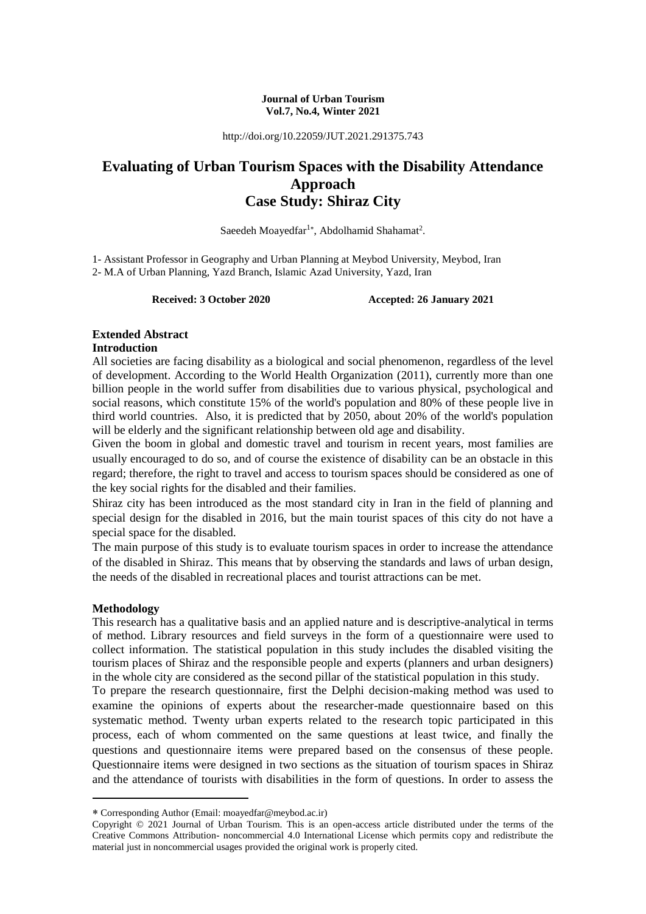#### **Journal of Urban Tourism Vol.7, No.4, Winter 2021**

http://doi.org/10.22059/JUT.2021.291375.743

# **Evaluating of Urban Tourism Spaces with the Disability Attendance Approach Case Study: Shiraz City**

Saeedeh Moayedfar<sup>1\*</sup>, Abdolhamid Shahamat<sup>2</sup>.

1- Assistant Professor in Geography and Urban Planning at Meybod University, Meybod, Iran 2- M.A of Urban Planning, Yazd Branch, Islamic Azad University, Yazd, Iran

**Received: 3 October 2020 Accepted: 26 January 2021**

#### **Extended Abstract Introduction**

All societies are facing disability as a biological and social phenomenon, regardless of the level of development. According to the World Health Organization (2011), currently more than one billion people in the world suffer from disabilities due to various physical, psychological and social reasons, which constitute 15% of the world's population and 80% of these people live in third world countries. Also, it is predicted that by 2050, about 20% of the world's population will be elderly and the significant relationship between old age and disability.

Given the boom in global and domestic travel and tourism in recent years, most families are usually encouraged to do so, and of course the existence of disability can be an obstacle in this regard; therefore, the right to travel and access to tourism spaces should be considered as one of the key social rights for the disabled and their families.

Shiraz city has been introduced as the most standard city in Iran in the field of planning and special design for the disabled in 2016, but the main tourist spaces of this city do not have a special space for the disabled.

The main purpose of this study is to evaluate tourism spaces in order to increase the attendance of the disabled in Shiraz. This means that by observing the standards and laws of urban design, the needs of the disabled in recreational places and tourist attractions can be met.

## **Methodology**

-

This research has a qualitative basis and an applied nature and is descriptive-analytical in terms of method. Library resources and field surveys in the form of a questionnaire were used to collect information. The statistical population in this study includes the disabled visiting the tourism places of Shiraz and the responsible people and experts (planners and urban designers) in the whole city are considered as the second pillar of the statistical population in this study.

To prepare the research questionnaire, first the Delphi decision-making method was used to examine the opinions of experts about the researcher-made questionnaire based on this systematic method. Twenty urban experts related to the research topic participated in this process, each of whom commented on the same questions at least twice, and finally the questions and questionnaire items were prepared based on the consensus of these people. Questionnaire items were designed in two sections as the situation of tourism spaces in Shiraz and the attendance of tourists with disabilities in the form of questions. In order to assess the

Corresponding Author (Email: moayedfar@meybod.ac.ir)

Copyright © 2021 Journal of Urban Tourism. This is an open-access article distributed under the terms of the Creative Commons Attribution- noncommercial 4.0 International License which permits copy and redistribute the material just in noncommercial usages provided the original work is properly cited.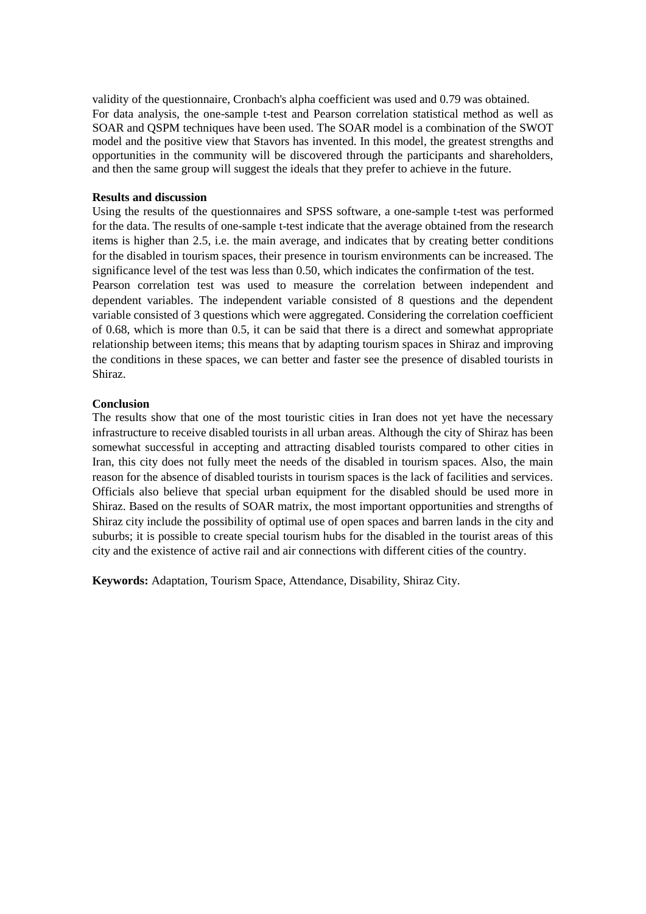validity of the questionnaire, Cronbach's alpha coefficient was used and 0.79 was obtained. For data analysis, the one-sample t-test and Pearson correlation statistical method as well as SOAR and QSPM techniques have been used. The SOAR model is a combination of the SWOT model and the positive view that Stavors has invented. In this model, the greatest strengths and opportunities in the community will be discovered through the participants and shareholders, and then the same group will suggest the ideals that they prefer to achieve in the future.

#### **Results and discussion**

Using the results of the questionnaires and SPSS software, a one-sample t-test was performed for the data. The results of one-sample t-test indicate that the average obtained from the research items is higher than 2.5, i.e. the main average, and indicates that by creating better conditions for the disabled in tourism spaces, their presence in tourism environments can be increased. The significance level of the test was less than 0.50, which indicates the confirmation of the test. Pearson correlation test was used to measure the correlation between independent and dependent variables. The independent variable consisted of 8 questions and the dependent variable consisted of 3 questions which were aggregated. Considering the correlation coefficient of 0.68, which is more than 0.5, it can be said that there is a direct and somewhat appropriate relationship between items; this means that by adapting tourism spaces in Shiraz and improving the conditions in these spaces, we can better and faster see the presence of disabled tourists in Shiraz.

#### **Conclusion**

The results show that one of the most touristic cities in Iran does not yet have the necessary infrastructure to receive disabled tourists in all urban areas. Although the city of Shiraz has been somewhat successful in accepting and attracting disabled tourists compared to other cities in Iran, this city does not fully meet the needs of the disabled in tourism spaces. Also, the main reason for the absence of disabled tourists in tourism spaces is the lack of facilities and services. Officials also believe that special urban equipment for the disabled should be used more in Shiraz. Based on the results of SOAR matrix, the most important opportunities and strengths of Shiraz city include the possibility of optimal use of open spaces and barren lands in the city and suburbs; it is possible to create special tourism hubs for the disabled in the tourist areas of this city and the existence of active rail and air connections with different cities of the country.

**Keywords:** Adaptation, Tourism Space, Attendance, Disability, Shiraz City.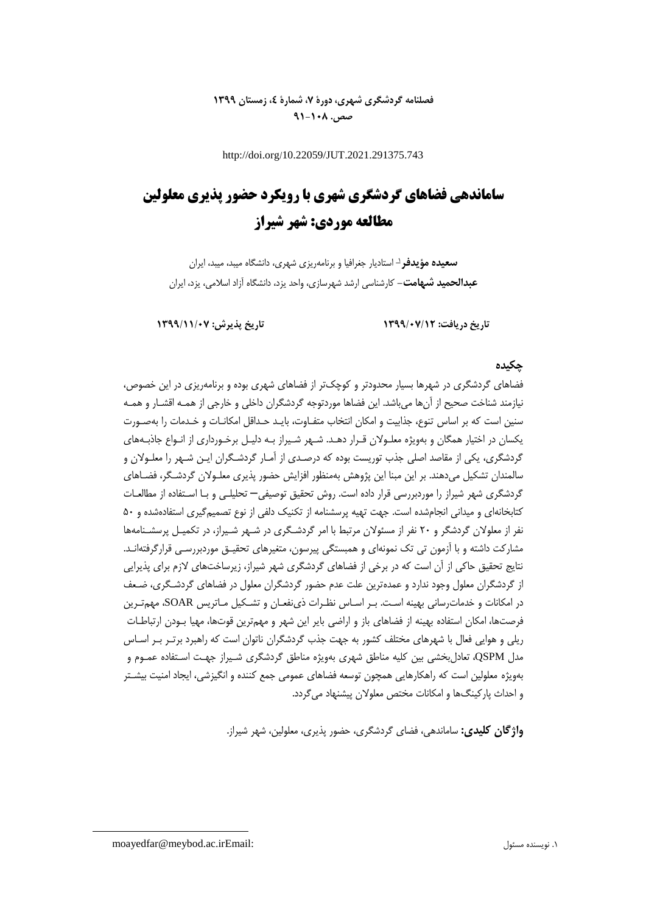# **فصلنامه گردشگری شهری، دورۀ ،7 شمارۀ ،4 زمستان 1399 صص. 91-108**

http://doi.org/10.22059/JUT.2021.291375.743

# **ساماندهی فضاهای گردشگری شهری با رویکرد حضور پذیری معلولین مطالعه موردی: شهر شیراز**

**سعیده مؤیدفر**<sup>د</sup> استادیار جغرافیا و برنامهریزی شهری، دانشگاه میبد، میبد، ایران **عبدالحمید شهامت-** کارشناسی ارشد شهرسازی، واحد یزد، دانشگاه آزاد اسالمی، یزد، ایران

**تاریخ دریافت: 1399/07/12 تاریخ پذیرش: 1399/11/07**

## **چکیده**

فضاهای گردشگری در شهرها بسیار محدودتر و کوچکتر از فضاهای شهری بوده و برنامهریزی در این خصوص، نیازمند شناخت صحیح از آنها میباشد. این فضاها موردتوجه گردشگران داخلی و خارجی از همـه اقشـار و همـه سنین است که بر اساس تنوع، جذابیت و امکان انتخاب متفـاوت، بایـد حـداقل امکانـات و خـدمات را بهصـورت یکسان در اختیار همگان و بهویژه معلـوالن قـرار دهـد. شـهر شـیراز بـه دلیـل برخـورداری از انـواع جاذبـههای گردشگری، یکی از مقاصد اصلی جذب توریست بوده که درصـدی از آمـار گردشـگران ایـن شـهر را معلـوالن و سالمندان تشکیل میدهند. بر این مبنا این پژوهش بهمنظور افزایش حضور پذیری معلـوالن گردشـگر، فضـاهای گردشگری شهر شیراز را موردبررسی قرار داده است. روش تحقیق توصیفی– تحلیلـی و بـا اسـتفاده از مطالعـات کتابخانهای و میدانی انجامشده است. جهت تهیه پرسشنامه از تکنیک دلفی از نوع تصمیمگیری استفادهشده و 50 نفر از معلولان گردشگر و ۲۰ نفر از مسئولان مرتبط با امر گردشـگری در شـهر شـیراز، در تکمیـل پرسشـنامهها مشارکت داشته و با آزمون تی تک نمونهای و همبستگی پیرسون، متغیرهای تحقیـق موردبررسـی قرارگرفتهانـد. نتایج تحقیق حاکی از آن است که در برخی از فضاهای گردشگری شهر شیراز، زیرساختهای الزم برای پذیرایی از گردشگران معلول وجود ندارد و عمدهترین علت عدم حضور گردشگران معلول در فضاهای گردشـگری، ضـعف در امکانات و خدماترسانی بهینه اسـت. بـر اسـاس نظـرات ذینفعـان و تشـکیل مـاتریس SOAR، مهمتـرین فرصتها، امکان استفاده بهینه از فضاهای باز و اراضی بایر این شهر و مهمترین قوتها، مهیا بـودن ارتباطـات ریلی و هوایی فعال با شهرهای مختلف کشور به جهت جذب گردشگران ناتوان است که راهبرد برتـر بـر اسـاس مدل QSPM، تعادلبخشی بین کلیه مناطق شهری بهویژه مناطق گردشگری شـیراز جهـت اسـتفاده عمـوم و بهویژه معلولین است که راهکارهایی همچون توسعه فضاهای عمومی جمع کننده و انگیزشی، ایجاد امنیت بیشـتر و احداث پارکینگها و امکانات مختص معلوالن پیشنهاد میگردد.

**واژگان کلیدی:** ساماندهی، فضای گردشگری، حضور پذیری، معلولین، شهر شیراز.

**.** 

moayedfar@meybod.ac.irEmail: مسئول نویسنده .1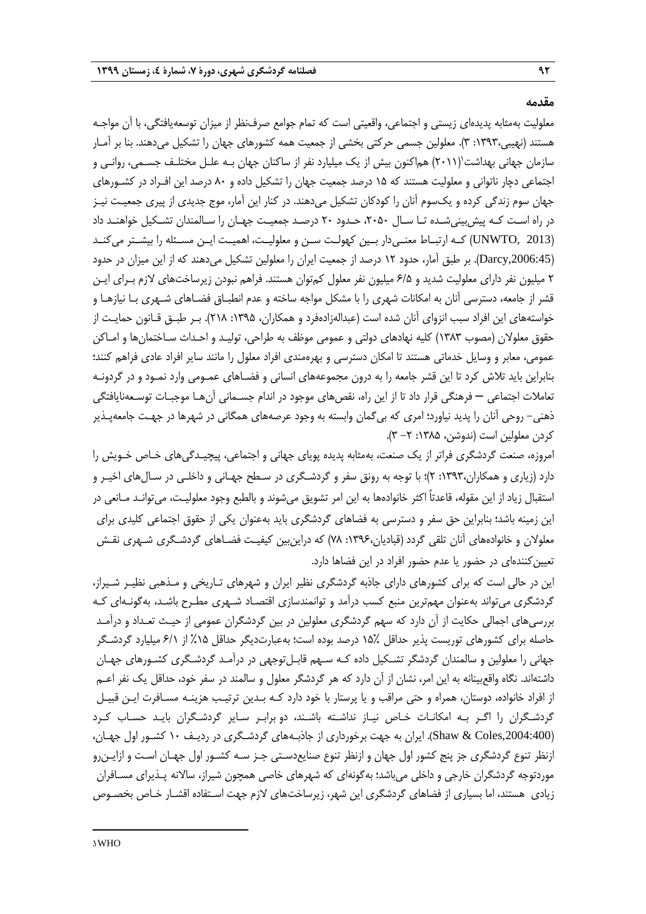### **مقدمه**

معلولیت بهمثابه پدیدهای زیستی و اجتماعی، واقعیتی است که تمام جوامع صرفنظر از میزان توسعهیافتگی، با آن مواجـه هستند )نهیبی:1393، 3(. معلولین جسمی حرکتی بخشی از جمعیت همه کشورهای جهان را تشکیل میدهند. بنا بر آمـار سازمان جهانی بهداشت'(۲۰۱۱) هم|کنون بیش از یک میلیارد نفر از ساکنان جهان بـه علـل مختلـف جسـمی، روانـی و اجتماعی دچار ناتوانی و معلولیت هستند که 15 درصد جمعیت جهان را تشکیل داده و 80 درصد این افـراد در کشـورهای جهان سوم زندگی کرده و یکسوم آنان را کودکان تشکیل میدهند. در کنار این آمار، موج جدیدی از پیری جمعیـت نیـز در راه اسـت کـه پیشبینیشـده تـا سـال ،2050 حـدود 20 درصـد جمعیـت جهـان را سـالمندان تشـکیل خواهنـد داد )2013 ,UNWTO )کــه ارتبــاط معنــیدار بــین کهولــت ســن و معلولیــت، اهمیــت ایــن مســئله را بیشــتر میکنــد ),2006:45Darcy). بر طبق آمار، حدود 12 درصد از جمعیت ایران را معلولین تشکیل میدهند که از این میزان در حدود 2 میلیون نفر دارای معلولیت شدید و 6/5 میلیون نفر معلول کمتوان هستند. فراهم نبودن زیرساختهای الزم بـرای ایـن قشر از جامعه، دسترسی آنان به امکانات شهری را با مشکل مواجه ساخته و عدم انطبـاق فضـاهای شـهری بـا نیازهـا و خواستههای این افراد سبب انزوای آنان شده است (عبدالهزادهفرد و همکاران، ۱۳۹۵: ۲۱۸). بـر طبـق قـانون حمایـت از حقوق معلوالن )مصوب 1383( کلیه نهادهای دولتی و عمومی موظف به طراحی، تولیـد و احـداث سـاختمانها و امـاکن عمومی، معابر و وسایل خدماتی هستند تا امکان دسترسی و بهرهمندی افراد معلول را مانند سایر افراد عادی فراهم کنند؛ بنابراین باید تالش کرد تا این قشر جامعه را به درون مجموعههای انسانی و فضـاهای عمـومی وارد نمـود و در گردونـه تعامالت اجتماعی – فرهنگی قرار داد تا از این راه، نقصهای موجود در اندام جسـمانی آنهـا موجبـات توسـعهنایافتگی ذهنی- روحی آنان را پدید نیاورد؛ امری که بیگمان وابسته به وجود عرصههای همگانی در شهرها در جهـت جامعهپـذیر کردن معلولین است (ندوشن، ۱۳۸۵: ۲– ۳).

امروزه، صنعت گردشگری فراتر از یک صنعت، بهمثابه پدیده پویای جهانی و اجتماعی، پیچیـدگیهای خـاص خـویش را دارد )زیاری و همکاران:1393، 2(؛ با توجه به رونق سفر و گردشـگری در سـطح جهـانی و داخلـی در سـالهای اخیـر و استقبال زیاد از این مقوله، قاعدتاً اکثر خانوادهها به این امر تشویق میشوند و بالطبع وجود معلولیـت، میتوانـد مـانعی در این زمینه باشد؛ بنابراین حق سفر و دسترسی به فضاهای گردشگری باید بهعنوان یکی از حقوق اجتماعی کلیدی برای معلولان و خانوادههای آنان تلقی گردد (قبادیان،۱۳۹۶: ۷۸) که دراینبین کیفیـت فضـاهای گردشـگری شـهری نقـش تعیینکنندهای در حضور یا عدم حضور افراد در این فضاها دارد.

این در حالی است که برای کشورهای دارای جاذبه گردشگری نظیر ایران و شهرهای تـاریخی و مـذهبی نظیـر شـیراز، گردشگری میتواند بهعنوان مهمترین منبع کسب درآمد و توانمندسازی اقتصـاد شـهری مطـرح باشـد، بهگونـهای کـه بررسیهای اجمالی حکایت از آن دارد که سهم گردشگری معلولین در بین گردشگران عمومی از حیـ تعـداد و درآمـد حاصله برای کشورهای توریست پذیر حداقل 15% درصد بوده است؛ بهعبارتدیگر حداقل %15 از 6/1 میلیارد گردشـگر جهانی را معلولین و سالمندان گردشگر تشـکیل داده کـه سـهم قابـلتوجهی در درآمـد گردشـگری کشـورهای جهـان داشتهاند. نگاه واقعبینانه به این امر، نشان از آن دارد که هر گردشگر معلول و سالمند در سفر خود، حداقل یک نفر اعـم از افراد خانواده، دوستان، همراه و حتی مراقب و یا پرستار با خود دارد کـه بـدین ترتیـب هزینـه مسـافرت ایـن قبیـل گردشـگران را اگـر بـه امکانـات خـاص نیـاز نداشـته باشـند، دو برابـر سـایر گردشـگران بایـد حسـاب کـرد ),2004:400Coles & Shaw). ایران به جهت برخورداری از جاذبـههای گردشـگری در ردیـف 10 کشـور اول جهـان، ازنظر تنوع گردشگری جز پنج کشور اول جهان و ازنظر تنوع صنایعدسـتی جـز سـه کشـور اول جهـان اسـت و ازایـنرو موردتوجه گردشگران خارجی و داخلی میباشد؛ بهگونهای که شهرهای خاصی همچون شیراز، ساالنه پـذیرای مسـافران زیادی هستند، اما بسیاری از فضاهای گردشگری این شهر، زیرساختهای الزم جهت اسـتفاده اقشـار خـاص بخصـوص

1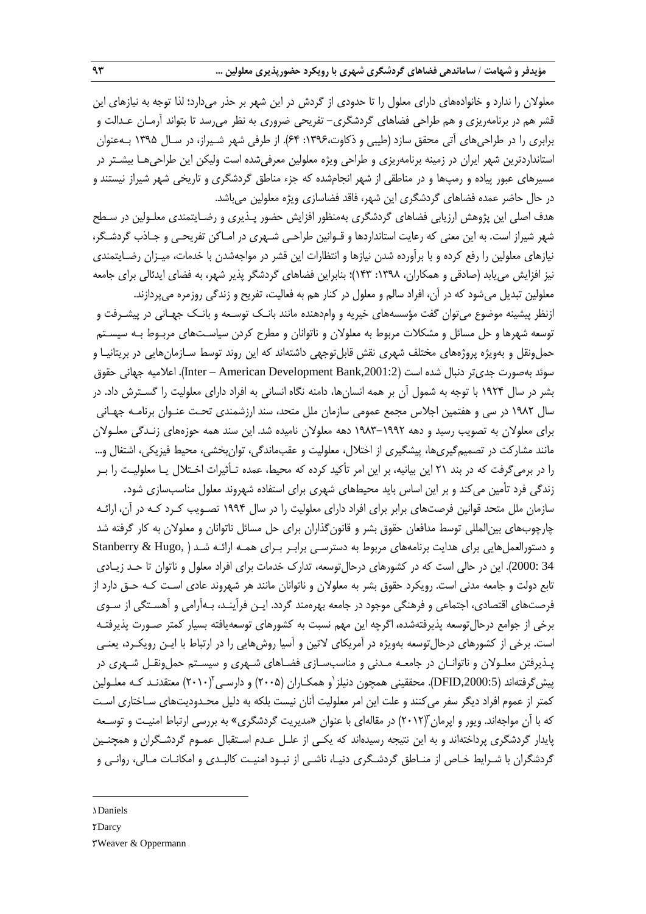معلوالن را ندارد و خانوادههای دارای معلول را تا حدودی از گردش در این شهر بر حذر میدارد؛ لذا توجه به نیازهای این قشر هم در برنامهریزی و هم طراحی فضاهای گردشگری- تفریحی ضروری به نظر میرسد تا بتواند آرمـان عـدالت و برابری را در طراحیهای آتی محقق سازد )طیبی و ذکاوت:1396، 64(. از طرفی شهر شـیراز، در سـال 1395 بـهعنوان استانداردترین شهر ایران در زمینه برنامهریزی و طراحی ویژه معلولین معرفیشده است ولیکن این طراحیهـا بیشـتر در مسیرهای عبور پیاده و رمپها و در مناطقی از شهر انجامشده که جزء مناطق گردشگری و تاریخی شهر شیراز نیستند و در حال حاضر عمده فضاهای گردشگری این شهر، فاقد فضاسازی ویژه معلولین میباشد.

هدف اصلی این پژوهش ارزیابی فضاهای گردشگری بهمنظور افزایش حضور پـذیری و رضـایتمندی معلـولین در سـطح شهر شیراز است. به این معنی که رعایت استانداردها و قـوانین طراحـی شـهری در امـاکن تفریحـی و جـاذب گردشـگر، نیازهای معلولین را رفع کرده و با برآورده شدن نیازها و انتظارات این قشر در مواجهشدن با خدمات، میـزان رضـایتمندی نیز افزایش می یابد (صادقی و همکاران، ۱۳۹۸: ۱۴۳)؛ بنابراین فضاهای گردشگر پذیر شهر، به فضای ایدئالی برای جامعه معلولین تبدیل میشود که در آن، افراد سالم و معلول در کنار هم به فعالیت، تفریح و زندگی روزمره میپردازند.

ازنظر پیشینه موضوع میتوان گفت مؤسسههای خیریه و وامدهنده مانند بانـک توسـعه و بانـک جهـانی در پیشـرفت و توسعه شهرها و حل مسائل و مشکالت مربوط به معلوالن و ناتوانان و مطرح کردن سیاسـتهای مربـوط بـه سیسـتم حمل ونقل و بهویژه پروژههای مختلف شهری نقش قابلتوجهی داشتهاند که این روند توسط سـازمانهایی در بریتانیـا و سوئد بهصورت جدیتر دنبال شده است (2:1001.1ber – American Development Bank). اعلامیه جهانی حقوق بشر در سال 1924 با توجه به شمول آن بر همه انسانها، دامنه نگاه انسانی به افراد دارای معلولیت را گسـترش داد. در سال 1982 در سی و هفتمین اجالس مجمع عمومی سازمان ملل متحد، سند ارزشمندی تحـت عنـوان برنامـه جهـانی برای معلوالن به تصویب رسید و دهه 1983-1992 دهه معلوالن نامیده شد. این سند همه حوزههای زنـدگی معلـوالن مانند مشارکت در تصمیمگیریها، پیشگیری از اختلال، معلولیت و عقبماندگی، توانبخشی، محیط فیزیکی، اشتغال و... را در برمیگرفت که در بند ٢١ این بیانیه، بر این امر تأکید کرده که محیط، عمده تـأثیرات اخـتلال یـا معلولیـت را بـر زندگی فرد تأمین می کند و بر این اساس باید محیطهای شهری برای استفاده شهروند معلول مناسبسازی شود.

سازمان ملل متحد قوانین فرصتهای برابر برای افراد دارای معلولیت را در سال 1994 تصـویب کـرد کـه در آن، ارائـه چارچوبهای بین|لمللی توسط مدافعان حقوق بشر و قانون گذاران برای حل مسائل ناتوانان و معلولان به کار گرفته شد و دستورالعملهایی برای هدایت برنامههای مربوط به دسترسـی برابـر بـرای همـه ارائـه شـد ( Stanberry & Hugo, 34 2000:(. این در حالی است که در کشورهای درحالتوسعه، تدارك خدمات برای افراد معلول و ناتوان تا حـد زیـادی تابع دولت و جامعه مدنی است. رویکرد حقوق بشر به معلوالن و ناتوانان مانند هر شهروند عادی اسـت کـه حـق دارد از فرصتهای اقتصادی، اجتماعی و فرهنگی موجود در جامعه بهرهمند گردد. ایـن فرآینـد، بـهآرامی و آهسـتگی از سـوی برخی از جوامع درحالتوسعه پذیرفتهشده، اگرچه این مهم نسبت به کشورهای توسعهیافته بسیار کمتر صـورت پذیرفتـه است. برخی از کشورهای درحالتوسعه بهویژه در آمریکای التین و آسیا روشهایی را در ارتباط با ایـن رویکـرد، یعنـی پـذیرفتن معلـوالن و ناتوانـان در جامعـه مـدنی و مناسبسـازی فضـاهای شـهری و سیسـتم حملونقـل شـهری در پیش گرفتهاند (DFID,2000:5). محققینی همچون دنیلز ٰو همکـاران (۲۰۰۵) و دارسـی'(۲۰۱۰) معتقدنـد کـه معلـولین کمتر از عموم افراد دیگر سفر میکنند و علت این امر معلولیت آنان نیست بلکه به دلیل محـدودیتهای سـاختاری اسـت که با آن مواجهاند. ویور و اپرمان "(۲۰۱۲) در مقالهای با عنوان «مدیریت گردشگری» به بررسی ارتباط امنیـت و توسـعه پایدار گردشگری پرداختهاند و به این نتیجه رسیدهاند که یکـی از علـل عـدم اسـتقبال عمـوم گردشـگران و همچنـین گردشگران با شـرایط خـاص از منـاطق گردشـگری دنیـا، ناشـی از نبـود امنیـت کالبـدی و امکانـات مـالی، روانـی و

## 1. Daniels

**.** 

#### 2. Darcy

3. Weaver & Oppermann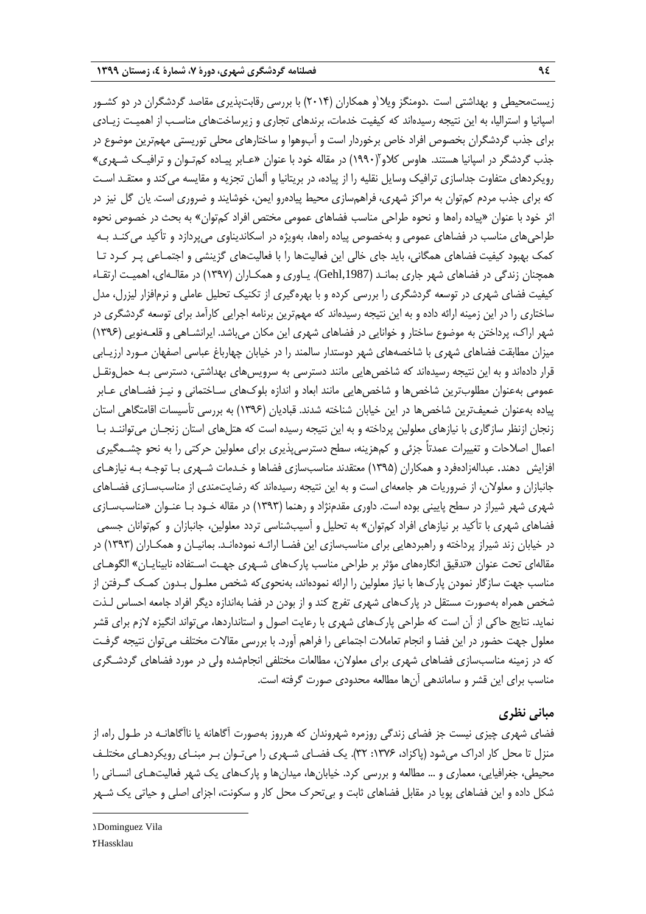زیستمحیطی و بهداشتی است .دومنگز ویلا<sup>י</sup>و همکاران (۲۰۱۴) با بررسی رقابتپذیری مقاصد گردشگران در دو کشـور اسپانیا و استرالیا، به این نتیجه رسیدهاند که کیفیت خدمات، برندهای تجاری و زیرساختهای مناسـب از اهمیـت زیـادی برای جذب گردشگران بخصوص افراد خاص برخوردار است و آبوهوا و ساختارهای محلی توریستی مهمترین موضوع در جذب گردشگر در اسپانیا هستند. هاوس کلاو (۱۹۹۰) در مقاله خود با عنوان «عـابر پیـاده کمتـوان و ترافیـک شـهری» رویکردهای متفاوت جداسازی ترافیک وسایل نقلیه را از پیاده، در بریتانیا و آلمان تجزیه و مقایسه میکند و معتقـد اسـت که برای جذب مردم کمتوان به مراکز شهری، فراهمسازی محیط پیادهرو ایمن، خوشایند و ضروری است. یان گل نیز در اثر خود با عنوان «پیاده راهها و نحوه طراحی مناسب فضاهای عمومی مختص افراد کمتوان» به بحث در خصوص نحوه طراحیهای مناسب در فضاهای عمومی و بهخصوص پیاده راهها، بهویژه در اسکاندیناوی میپردازد و تأکید میکنـد بـه کمک بهبود کیفیت فضاهای همگانی، باید جای خالی این فعالیتها را با فعالیتهای گزینشی و اجتمـاعی پـر کـرد تـا همچنان زندگی در فضاهای شهر جاری بمانـد ),1987Gehl). یـاوری و همکـاران )1397( در مقالـهای، اهمیـت ارتقـاء کیفیت فضای شهری در توسعه گردشگری را بررسی کرده و با بهرهگیری از تکنیک تحلیل عاملی و نرمافزار لیزرل، مدل ساختاری را در این زمینه ارائه داده و به این نتیجه رسیدهاند که مهمترین برنامه اجرایی کارآمد برای توسعه گردشگری در شهر اراك، پرداختن به موضوع ساختار و خوانایی در فضاهای شهری این مکان میباشد. ایرانشـاهی و قلعـهنویی )1396( میزان مطابقت فضاهای شهری با شاخصههای شهر دوستدار سالمند را در خیابان چهارباغ عباسی اصفهان مـورد ارزیـابی قرار دادهاند و به این نتیجه رسیدهاند که شاخصهایی مانند دسترسی به سرویسهای بهداشتی، دسترسی بـه حملونقـل عمومی بهعنوان مطلوبترین شاخصها و شاخصهایی مانند ابعاد و اندازه بلوكهای سـاختمانی و نیـز فضـاهای عـابر پیاده بهعنوان ضعیفترین شاخصها در این خیابان شناخته شدند. قبادیان )1396( به بررسی تأسیسات اقامتگاهی استان زنجان ازنظر سازگاری با نیازهای معلولین پرداخته و به این نتیجه رسیده است که هتلهای استان زنجـان میتواننـد بـا اعمال اصالحات و تغییرات عمدتاً جزئی و کمهزینه، سطح دسترسیپذیری برای معلولین حرکتی را به نحو چشـمگیری افزایش دهند. عبدالهزادهفرد و همکاران )1395( معتقدند مناسبسازی فضاها و خـدمات شـهری بـا توجـه بـه نیازهـای جانبازان و معلوالن، از ضروریات هر جامعهای است و به این نتیجه رسیدهاند که رضایتمندی از مناسبسـازی فضـاهای شهری شهر شیراز در سطح پایینی بوده است. داوری مقدمنژاد و رهنما )1393( در مقاله خـود بـا عنـوان »مناسبسـازی فضاهای شهری با تأکید بر نیازهای افراد کمتوان» به تحلیل و آسیبشناسی تردد معلولین، جانبازان و کمتوانان جسمی در خیابان زند شیراز پرداخته و راهبردهایی برای مناسبسازی این فضـا ارائـه نمودهانـد. بمانیـان و همکـاران )1393( در مقالهای تحت عنوان »تدقیق انگارههای مؤثر بر طراحی مناسب پاركهای شـهری جهـت اسـتفاده نابینایـان« الگوهـای مناسب جهت سازگار نمودن پاركها با نیاز معلولین را ارائه نمودهاند، بهنحویکه شخص معلـول بـدون کمـک گـرفتن از شخص همراه بهصورت مستقل در پاركهای شهری تفرج کند و از بودن در فضا بهاندازه دیگر افراد جامعه احساس لـذت نماید. نتایج حاکی از آن است که طراحی پاركهای شهری با رعایت اصول و استانداردها، میتواند انگیزه الزم برای قشر معلول جهت حضور در این فضا و انجام تعامالت اجتماعی را فراهم آورد. با بررسی مقاالت مختلف میتوان نتیجه گرفـت که در زمینه مناسبسازی فضاهای شهری برای معلوالن، مطالعات مختلفی انجامشده ولی در مورد فضاهای گردشـگری مناسب برای این قشر و ساماندهی آنها مطالعه محدودی صورت گرفته است.

# **مبانی نظری**

فضای شهری چیزی نیست جز فضای زندگی روزمره شهروندان که هرروز بهصورت آگاهانه یا ناآگاهانـه در طـول راه، از منزل تا محل کار ادراك میشود )پاکزاد، :1376 32(. یک فضـای شـهری را میتـوان بـر مبنـای رویکردهـای مختلـف محیطی، جغرافیایی، معماری و ... مطالعه و بررسی کرد. خیابانها، میدانها و پاركهای یک شهر فعالیتهـای انسـانی را شکل داده و این فضاهای پویا در مقابل فضاهای ثابت و بیتحرك محل کار و سکونت، اجزای اصلی و حیاتی یک شـهر

**.** 

<sup>1</sup>. Dominguez Vila **7Hassklau**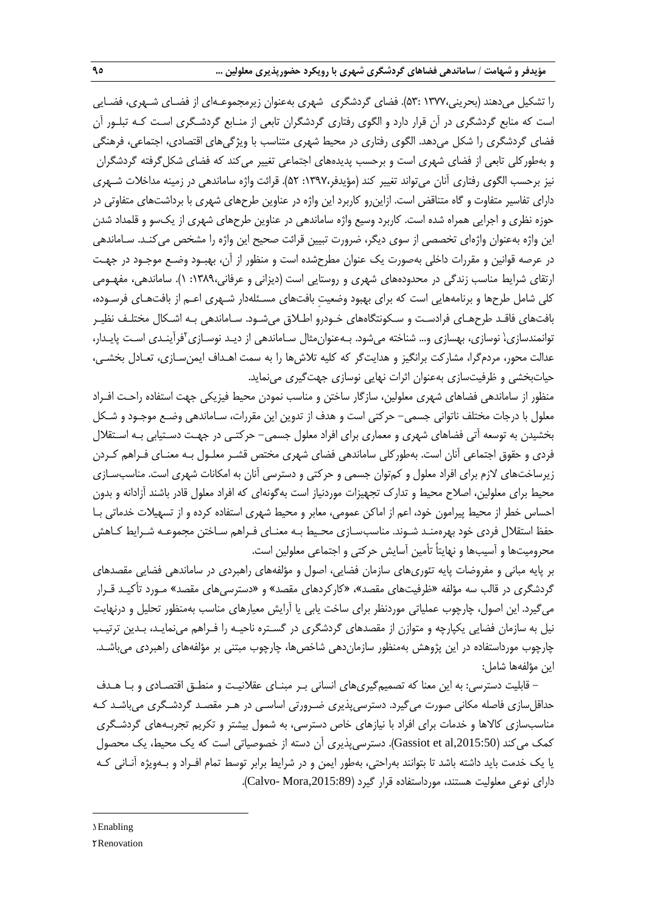را تشکیل میدهند )بحرینی1377، 53:(. فضای گردشگری شهری بهعنوان زیرمجموعـهای از فضـای شـهری، فضـایی است که منابع گردشگری در آن قرار دارد و الگوی رفتاری گردشگران تابعی از منـابع گردشـگری اسـت کـه تبلـور آن فضای گردشگری را شکل میدهد. الگوی رفتاری در محیط شهری متناسب با ویژگیهای اقتصادی، اجتماعی، فرهنگی و بهطورکلی تابعی از فضای شهری است و برحسب پدیدههای اجتماعی تغییر میکند که فضای شکلگرفته گردشگران نیز برحسب الگوی رفتاری آنان میتواند تغییر کند (مؤیدفر،۱۳۹۷: ۵۲). قرائت واژه ساماندهی در زمینه مداخلات شـهری دارای تفاسیر متفاوت و گاه متناقض است. ازاینرو کاربرد این واژه در عناوین طرحهای شهری با برداشتهای متفاوتی در حوزه نظری و اجرایی همراه شده است. کاربرد وسیع واژه ساماندهی در عناوین طرحهای شهری از یکسو و قلمداد شدن این واژه بهعنوان واژهای تخصصی از سوی دیگر، ضرورت تبیین قرائت صحیح این واژه را مشخص میکنـد. سـاماندهی در عرصه قوانین و مقررات داخلی بهصورت یک عنوان مطرحشده است و منظور از آن، بهبـود وضـع موجـود در جهـت ارتقای شرایط مناسب زندگی در محدودههای شهری و روستایی است (دیزانی و عرفانی،۱۳۸۹: ۱). ساماندهی، مفهـومی کلی شامل طرحها و برنامههایی است که برای بهبود وضعیتِ بافتهای مسـئلهدار شـهری اعـم از بافتهـای فرسـوده، بافتهای فاقـد طرحهـای فرادسـت و سـکونتگاههای خـودرو اطـالق میشـود. سـاماندهی بـه اشـکال مختلـف نظیـر نوانمندسازی،ٰ نوسازی، بهسازی و… شناخته میشود. بـهعنوان۵ثال سـاماندهی از دیـد نوسـازی'فرآینـدی اسـت پایـدار، عدالت محور، مردمگرا، مشارکت برانگیز و هدایتگر که کلیه تالشها را به سمت اهـداف ایمنسـازی، تعـادل بخشـی، حیاتبخشی و ظرفیتسازی بهعنوان اثرات نهایی نوسازی جهتگیری مینماید.

منظور از ساماندهی فضاهای شهری معلولین، سازگار ساختن و مناسب نمودن محیط فیزیکی جهت استفاده راحـت افـراد معلول با درجات مختلف ناتوانی جسمی- حرکتی است و هدف از تدوین این مقررات، سـاماندهی وضـع موجـود و شـکل بخشیدن به توسعه آتی فضاهای شهری و معماری برای افراد معلول جسمی- حرکتـی در جهـت دسـتیابی بـه اسـتقالل فردی و حقوق اجتماعی آنان است. بهطورکلی ساماندهی فضای شهری مختص قشـر معلـول بـه معنـای فـراهم کـردن زیرساختهای الزم برای افراد معلول و کمتوان جسمی و حرکتی و دسترسی آنان به امکانات شهری است. مناسبسـازی محیط برای معلولین، اصلاح محیط و تدارک تجهیزات موردنیاز است بهگونهای که افراد معلول قادر باشند آزادانه و بدون احساس خطر از محیط پیرامون خود، اعم از اماکن عمومی، معابر و محیط شهری استفاده کرده و از تسهیلات خدماتی بـا حفظ استقلال فردی خود بهرهمنـد شـوند. مناسب $-$ سـازی محـیط بـه معنـای فـراهم سـاختن مجموعـه شـرایط کـاهش محرومیتها و آسیبها و نهایتاً تأمین آسایش حرکتی و اجتماعی معلولین است.

بر پایه مبانی و مفروضات پایه تئوریهای سازمان فضایی، اصول و مؤلفههای راهبردی در ساماندهی فضایی مقصدهای گردشگری در قالب سه مؤلفه »ظرفیتهای مقصد«، »کارکردهای مقصد« و »دسترسیهای مقصد« مـورد تأکیـد قـرار میگیرد. این اصول، چارچوب عملیاتی موردنظر برای ساخت یابی یا آرایش معیارهای مناسب بهمنظور تحلیل و درنهایت نیل به سازمان فضایی یکپارچه و متوازن از مقصدهای گردشگری در گسـتره ناحیـه را فـراهم مینمایـد، بـدین ترتیـب چارچوب مورداستفاده در این پژوهش بهمنظور سازماندهی شاخصها، چارچوب مبتنی بر مؤلفههای راهبردی میباشـد. این مؤلفهها شامل:

- قابلیت دسترسی: به این معنا که تصمیمگیریهای انسانی بـر مبنـای عقالنیـت و منطـق اقتصـادی و بـا هـدف حداقلسازی فاصله مکانی صورت میگیرد. دسترسیپذیری ضـرورتی اساسـی در هـر مقصـد گردشـگری میباشـد کـه مناسبسازی کاالها و خدمات برای افراد با نیازهای خاص دسترسی، به شمول بیشتر و تکریم تجربـههای گردشـگری کمک میکند (3015:50)Gassiot et al, دسترسیپذیری آن دسته از خصوصیاتی است که یک محیط، یک محصول یا یک خدمت باید داشته باشد تا بتوانند بهراحتی، بهطور ایمن و در شرایط برابر توسط تمام افـراد و بـهویژه آنـانی کـه دارای نوعی معلولیت هستند، مورداستفاده قرار گیرد (Calvo- Mora,2015:89).

1. Enabling

**.** 

2. Renovation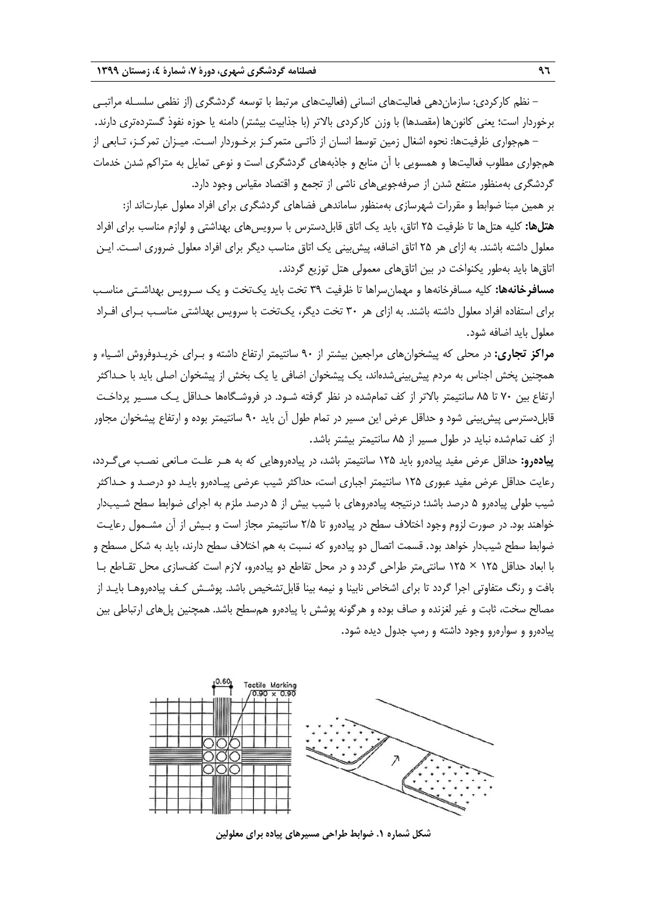– نظم کارکردی: سازماندهی فعالیتهای انسانی (فعالیتهای مرتبط با توسعه گردشگری (از نظمی سلسـله مراتبـی برخوردار است؛ یعنی کانونها (مقصدها) با وزن کارکردی بالاتر (با جذابیت بیشتر) دامنه یا حوزه نفوذ گستردهتری دارند. – همجواری ظرفیتها: نحوه اشغال زمین توسط انسان از ذاتـی متمرکـز برخـوردار اسـت. میـزان تمرکـز، تـابعی از

همجواری مطلوب فعالیتها و همسویی با آن منابع و جاذبههای گردشگری است و نوعی تمایل به متراکم شدن خدمات گردشگری بهمنظور منتفع شدن از صرفهجوییهای ناشی از تجمع و اقتصاد مقیاس وجود دارد.

بر همین مبنا ضوابط و مقررات شهرسازی بهمنظور ساماندهی فضاهای گردشگری برای افراد معلول عبارتاند از: **هتلها:** کلیه هتلها تا ظرفیت 25 اتاق، باید یک اتاق قابلدسترس با سرویسهای بهداشتی و لوازم مناسب برای افراد معلول داشته باشند. به ازای هر 25 اتاق اضافه، پیشبینی یک اتاق مناسب دیگر برای افراد معلول ضروری اسـت. ایـن اتاقها باید بهطور یکنواخت در بین اتاقهای معمولی هتل توزیع گردند.

**مسافرخانهها:** کلیه مسافرخانهها و مهمانسراها تا ظرفیت 39 تخت باید یکتخت و یک سـرویس بهداشـتی مناسـب برای استفاده افراد معلول داشته باشند. به ازای هر 30 تخت دیگر، یکتخت با سرویس بهداشتی مناسـب بـرای افـراد معلول باید اضافه شود.

**مراکز تجاری:** در محلی که پیشخوانهای مراجعین بیشتر از 90 سانتیمتر ارتفاع داشته و بـرای خریـدوفروش اشـیاء و همچنین پخش اجناس به مردم پیشبینیشدهاند، یک پیشخوان اضافی یا یک بخش از پیشخوان اصلی باید با حـداکثر ارتفاع بین 70 تا 85 سانتیمتر باالتر از کف تمامشده در نظر گرفته شـود. در فروشـگاهها حـداقل یـک مسـیر پرداخـت قابلدسترسی پیشبینی شود و حداقل عرض این مسیر در تمام طول آن باید 90 سانتیمتر بوده و ارتفاع پیشخوان مجاور از کف تمامشده نباید در طول مسیر از 85 سانتیمتر بیشتر باشد.

**پیادهرو:** حداقل عرض مفید پیادهرو باید 125 سانتیمتر باشد، در پیادهروهایی که به هـر علـت مـانعی نصـب میگـردد، رعایت حداقل عرض مفید عبوری 125 سانتیمتر اجباری است، حداکثر شیب عرضی پیـادهرو بایـد دو درصـد و حـداکثر شیب طولی پیادهرو ۵ درصد باشد؛ درنتیجه پیادهروهای با شیب بیش از ۵ درصد ملزم به اجرای ضوابط سطح شـیبدار خواهند بود. در صورت لزوم وجود اختالف سطح در پیادهرو تا 2/5 سانتیمتر مجاز است و بـیش از آن مشـمول رعایـت ضوابط سطح شیبدار خواهد بود. قسمت اتصال دو پیادهرو که نسبت به هم اختلاف سطح دارند، باید به شکل مسطح و با ابعاد حداقل 125 × 125 سانتیمتر طراحی گردد و در محل تقاطع دو پیادهرو، الزم است کفسازی محل تقـاطع بـا بافت و رنگ متفاوتی اجرا گردد تا برای اشخاص نابینا و نیمه بینا قابلتشخیص باشد. پوشـش کـف پیادهروهـا بایـد از مصالح سخت، ثابت و غیر لغزنده و صاف بوده و هرگونه پوشش با پیادهرو همسطح باشد. همچنین پلهای ارتباطی بین پیادهرو و سوارهرو وجود داشته و رمپ جدول دیده شود.



**شکل شماره .1 ضوابط طراحی مسیرهای پیاده برای معلولین**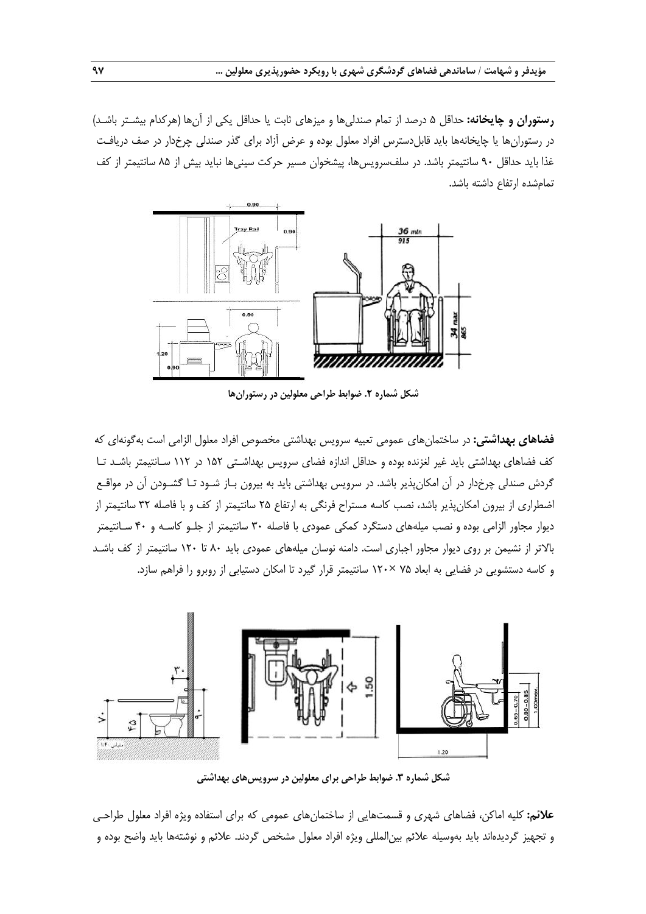**رستوران و چایخانه:** حداقل 5 درصد از تمام صندلیها و میزهای ثابت یا حداقل یکی از آنها )هرکدام بیشـتر باشـد( در رستورانها یا چایخانهها باید قابلدسترس افراد معلول بوده و عرض آزاد برای گذر صندلی چرخدار در صف دریافـت غذا باید حداقل 90 سانتیمتر باشد. در سلفسرویسها، پیشخوان مسیر حرکت سینیها نباید بیش از 85 سانتیمتر از کف تمامشده ارتفاع داشته باشد.



**شکل شماره .2 ضوابط طراحی معلولین در رستورانها**

**فضاهای بهداشتی:** در ساختمانهای عمومی تعبیه سرویس بهداشتی مخصوص افراد معلول الزامی است بهگونهای که کف فضاهای بهداشتی باید غیر لغزنده بوده و حداقل اندازه فضای سرویس بهداشـتی 152 در 112 سـانتیمتر باشـد تـا گردش صندلی چرخدار در آن امکانپذیر باشد. در سرویس بهداشتی باید به بیرون بـاز شـود تـا گشـودن آن در مواقـع اضطراری از بیرون امکانپذیر باشد، نصب کاسه مستراح فرنگی به ارتفاع 25 سانتیمتر از کف و با فاصله 32 سانتیمتر از دیوار مجاور الزامی بوده و نصب میلههای دستگرد کمکی عمودی با فاصله 30 سانتیمتر از جلـو کاسـه و 40 سـانتیمتر باالتر از نشیمن بر روی دیوار مجاور اجباری است. دامنه نوسان میلههای عمودی باید 80 تا 120 سانتیمتر از کف باشـد و کاسه دستشویی در فضایی به ابعاد 75 ×120 سانتیمتر قرار گیرد تا امکان دستیابی از روبرو را فراهم سازد.



**شکل شماره .3 ضوابط طراحی برای معلولین در سرویسهای بهداشتی**

**عالئم:** کلیه اماکن، فضاهای شهری و قسمتهایی از ساختمانهای عمومی که برای استفاده ویژه افراد معلول طراحـی و تجهیز گردیدهاند باید بهوسیله عالئم بینالمللی ویژه افراد معلول مشخص گردند. عالئم و نوشتهها باید واضح بوده و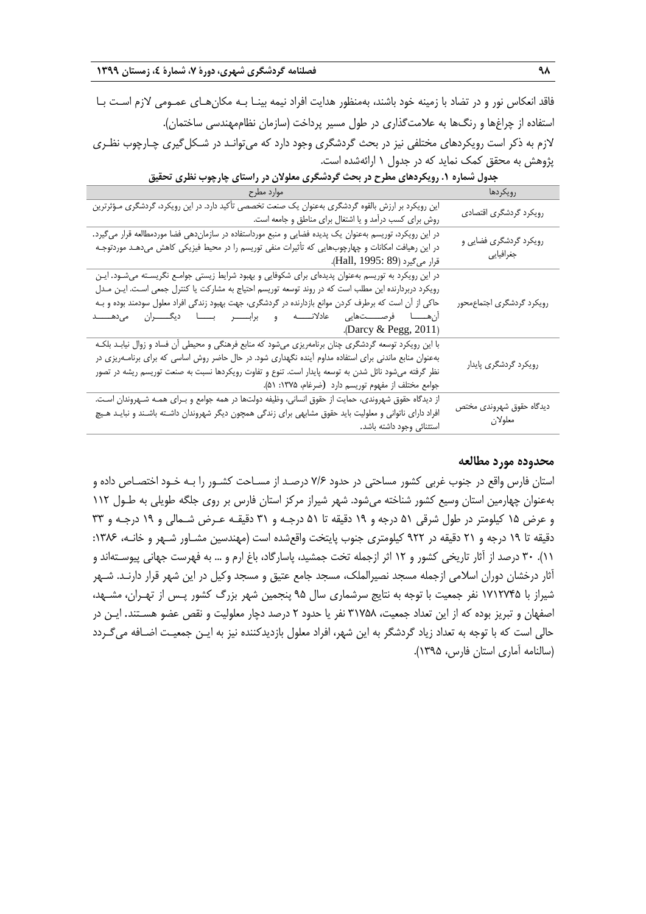فاقد انعکاس نور و در تضاد با زمینه خود باشند، بهمنظور هدایت افراد نیمه بینـا بـه مکانهـای عمـومی الزم اسـت بـا استفاده از چراغها و رنگها به عالمتگذاری در طول مسیر پرداخت )سازمان نظاممهندسی ساختمان(. لازم به ذکر است رویکردهای مختلفی نیز در بحث گردشگری وجود دارد که میتوانـد در شـکل گیری چـارچوب نظـری پژوهش به محقق کمک نماید که در جدول 1 ارائهشده است.

| ہوارد مطرح                                                                                                                                                                                                                                                                                                                                                                                                                                                 | رويكردها                            |
|------------------------------------------------------------------------------------------------------------------------------------------------------------------------------------------------------------------------------------------------------------------------------------------------------------------------------------------------------------------------------------------------------------------------------------------------------------|-------------------------------------|
| این رویکرد بر ارزش بالقوه گردشگری بهعنوان یک صنعت تخصصی تأکید دارد. در این رویکرد، گردشگری مـؤثرترین<br>روش برای کسب درآمد و یا اشتغال برای مناطق و جامعه است.                                                                                                                                                                                                                                                                                             | رویکرد گردشگری اقتصادی              |
| در این رویکرد، توریسم بهعنوان یک پدیده فضایی و منبع مورداستفاده در سازماندهی فضا موردمطالعه قرار میگیرد.<br>در این رهیافت امکانات و چهارچوبهایی که تأثیرات منفی توریسم را در محیط فیزیکی کاهش میدهـد موردتوجـه<br>قرار میگیرد (Hall, 1995: 89).                                                                                                                                                                                                            | رویکرد گردشگری فضایی و<br>جغرافيايي |
| در این رویکرد به توریسم بهعنوان پدیدهای برای شکوفایی و بهبود شرایط زیستی جوامـع نگریسـته میشـود. ایـن<br>رویکرد دربردارنده این مطلب است که در روند توسعه توریسم احتیاج به مشارکت یا کنترل جمعی اسـت. ایــن مــدل<br>حاکی از آن است که برطرف کردن موانع بازدارنده در گردشگری، جهت بهبود زندگی افراد معلول سودمند بوده و بـه<br>ان هـــــــا فرصــــــــتمايى عادلانــــــه و برابــــــــر بـــــــا ديگـــــــران مىدهـــــــد<br>.(Darcy $\&$ Pegg, 2011) | رويكرد گردشگرى اجتماعمحور           |
| با این رویکرد توسعه گردشگری چنان برنامهریزی میشود که منابع فرهنگی و محیطی آن فساد و زوال نیابـد بلکـه<br>بهعنوان منابع ماندنی برای استفاده مداوم أینده نگهداری شود. در حال حاضر روش اساسی که برای برنامــهریزی در<br>نظر گرفته میشود نائل شدن به توسعه پایدار است. تنوع و تفاوت رویکردها نسبت به صنعت توریسم ریشه در تصور<br>جوامع مختلف از مفهوم توريسم دارد (ضرغام، ۱۳۷۵: ۵۱).                                                                           | رويكرد گردشگرى پايدار               |
| از دیدگاه حقوق شهروندی، حمایت از حقوق انسانی، وظیفه دولتها در همه جوامع و بـرای همـه شـهروندان اسـت.<br>افراد دارای ناتوانی و معلولیت باید حقوق مشابهی برای زندگی همچون دیگر شهروندان داشـته باشـند و نبایـد هـیچ<br>استثنائى وجود داشته باشد.                                                                                                                                                                                                             | ديدگاه حقوق شهروندى مختص<br>معلولان |

**جدول شماره .1 رویکردهای مطرح در بحث گردشگری معلوالن در راستای چارچوب نظری تحقیق**

#### **محدوده مورد مطالعه**

استان فارس واقع در جنوب غربی کشور مساحتی در حدود 7/6 درصـد از مسـاحت کشـور را بـه خـود اختصـاص داده و بهعنوان چهارمین استان وسیع کشور شناخته میشود. شهر شیراز مرکز استان فارس بر روی جلگه طویلی به طـول 112 و عرض 15 کیلومتر در طول شرقی 51 درجه و 19 دقیقه تا 51 درجـه و 31 دقیقـه عـرض شـمالی و 19 درجـه و 33 دقیقه تا ۱۹ درجه و ۲۱ دقیقه در ۹۲۲ کیلومتری جنوب پایتخت واقعشده است (مهندسین مشـاور شـهر و خانـه، ۱۳۸۶: 11(. 30 درصد از آثار تاریخی کشور و 12 اثر ازجمله تخت جمشید، پاسارگاد، باغ ارم و ... به فهرست جهانی پیوسـتهاند و آثار درخشان دوران اسالمی ازجمله مسجد نصیرالملک، مسجد جامع عتیق و مسجد وکیل در این شهر قرار دارنـد. شـهر شیراز با 1712745 نفر جمعیت با توجه به نتایج سرشماری سال 95 پنجمین شهر بزرگ کشور پـس از تهـران، مشـهد، اصفهان و تبریز بوده که از این تعداد جمعیت، 31758 نفر یا حدود 2 درصد دچار معلولیت و نقص عضو هسـتند. ایـن در حالی است که با توجه به تعداد زیاد گردشگر به این شهر، افراد معلول بازدیدکننده نیز به ایـن جمعیـت اضـافه میگـردد )سالنامه آماری استان فارس، 1395(.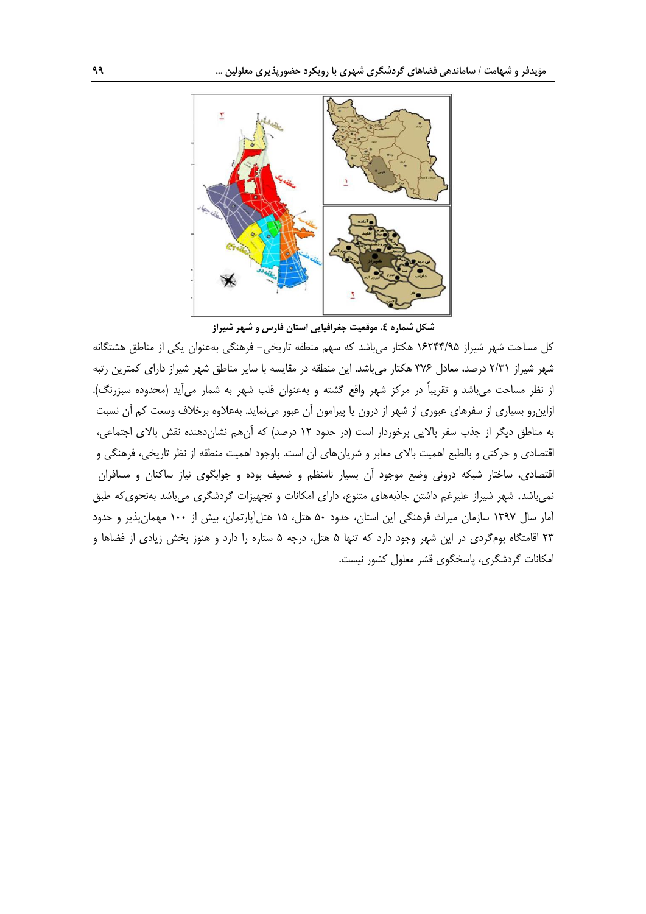

**شکل شماره .4 موقعیت جغرافیایی استان فارس و شهر شیراز**

کل مساحت شهر شیراز 16244/95 هکتار میباشد که سهم منطقه تاریخی- فرهنگی بهعنوان یکی از مناطق هشتگانه شهر شیراز 2/31 درصد، معادل 376 هکتار میباشد. این منطقه در مقایسه با سایر مناطق شهر شیراز دارای کمترین رتبه از نظر مساحت میباشد و تقریباً در مرکز شهر واقع گشته و بهعنوان قلب شهر به شمار میآید (محدوده سبزرنگ). ازاینرو بسیاری از سفرهای عبوری از شهر از درون یا پیرامون آن عبور مینماید. بهعالوه برخالف وسعت کم آن نسبت به مناطق دیگر از جذب سفر بالایی برخوردار است (در حدود ۱۲ درصد) که آنهم نشاندهنده نقش بالای اجتماعی، اقتصادی و حرکتی و بالطبع اهمیت باالی معابر و شریانهای آن است. باوجود اهمیت منطقه از نظر تاریخی، فرهنگی و اقتصادی، ساختار شبکه درونی وضع موجود آن بسیار نامنظم و ضعیف بوده و جوابگوی نیاز ساکنان و مسافران نمیباشد. شهر شیراز علیرغم داشتن جاذبههای متنوع، دارای امکانات و تجهیزات گردشگری میباشد بهنحویکه طبق آمار سال 1397 سازمان میراث فرهنگی این استان، حدود 50 هتل، 15 هتلآپارتمان، بیش از 100 مهمانپذیر و حدود 23 اقامتگاه بومگردی در این شهر وجود دارد که تنها 5 هتل، درجه 5 ستاره را دارد و هنوز بخش زیادی از فضاها و امکانات گردشگری، پاسخگوی قشر معلول کشور نیست.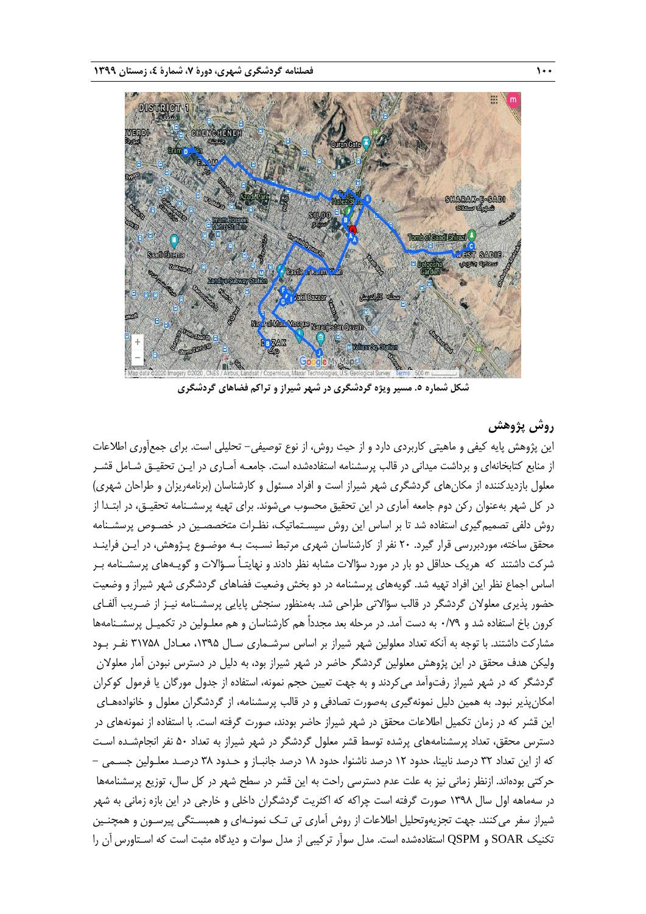

**شکل شماره .5 مسیر ویژه گردشگری در شهر شیراز و تراکم فضاهای گردشگری**

# **روش پژوهش**

این پژوهش پایه کیفی و ماهیتی کاربردی دارد و از حیث روش، از نوع توصیفی– تحلیلی است. برای جمعآوری اطلاعات از منابع کتابخانهای و برداشت میدانی در قالب پرسشنامه استفادهشده است. جامعـه آمـاری در ایـن تحقیـق شـامل قشـر معلول بازدیدکننده از مکانهای گردشگری شهر شیراز است و افراد مسئول و کارشناسان (برنامهریزان و طراحان شهری) در کل شهر بهعنوان رکن دوم جامعه آماری در این تحقیق محسوب میشوند. برای تهیه پرسشـنامه تحقیـق، در ابتـدا از روش دلفی تصمیمگیری استفاده شد تا بر اساس این روش سیسـتماتیک، نظـرات متخصصـین در خصـوص پرسشـنامه محقق ساخته، موردبررسی قرار گیرد. ۲۰ نفر از کارشناسان شهری مرتبط نسـبت بـه موضـوع پـژوهش، در ایـن فراینـد شرکت داشتند که هریک حداقل دو بار در مورد سؤاالت مشابه نظر دادند و نهایتـاً سـؤاالت و گویـههای پرسشـنامه بـر اساس اجماع نظر این افراد تهیه شد. گویههای پرسشنامه در دو بخش وضعیت فضاهای گردشگری شهر شیراز و وضعیت حضور پذیری معلوالن گردشگر در قالب سؤاالتی طراحی شد. بهمنظور سنجش پایایی پرسشـنامه نیـز از ضـریب آلفـای کرون باخ استفاده شد و 0/79 به دست آمد. در مرحله بعد مجدداً هم کارشناسان و هم معلـولین در تکمیـل پرسشـنامهها مشارکت داشتند. با توجه به آنکه تعداد معلولین شهر شیراز بر اساس سرشـماری سـال ،1395 معـادل 31758 نفـر بـود ولیکن هدف محقق در این پژوهش معلولین گردشگر حاضر در شهر شیراز بود، به دلیل در دسترس نبودن آمار معلوالن گردشگر که در شهر شیراز رفتوآمد میکردند و به جهت تعیین حجم نمونه، استفاده از جدول مورگان یا فرمول کوکران امکانپذیر نبود. به همین دلیل نمونهگیری بهصورت تصادفی و در قالب پرسشنامه، از گردشگران معلول و خانوادههـای این قشر که در زمان تکمیل اطالعات محقق در شهر شیراز حاضر بودند، صورت گرفته است. با استفاده از نمونههای در دسترس محقق، تعداد پرسشنامههای پرشده توسط قشر معلول گردشگر در شهر شیراز به تعداد ۵۰ نفر انجامشـده اسـت که از این تعداد 32 درصد نابینا، حدود 12 درصد ناشنوا، حدود 18 درصد جانبـاز و حـدود 38 درصـد معلـولین جسـمی - حرکتی بودهاند. ازنظر زمانی نیز به علت عدم دسترسی راحت به این قشر در سطح شهر در کل سال، توزیع پرسشنامهها در سهماهه اول سال 1398 صورت گرفته است چراکه که اکثریت گردشگران داخلی و خارجی در این بازه زمانی به شهر شیراز سفر میکنند. جهت تجزیهوتحلیل اطالعات از روش آماری تی تـک نمونـهای و همبسـتگی پیرسـون و همچنـین تکنیک SOAR و QSPM استفادهشده است. مدل سوآر ترکیبی از مدل سوات و دیدگاه مثبت است که اسـتاورس آن را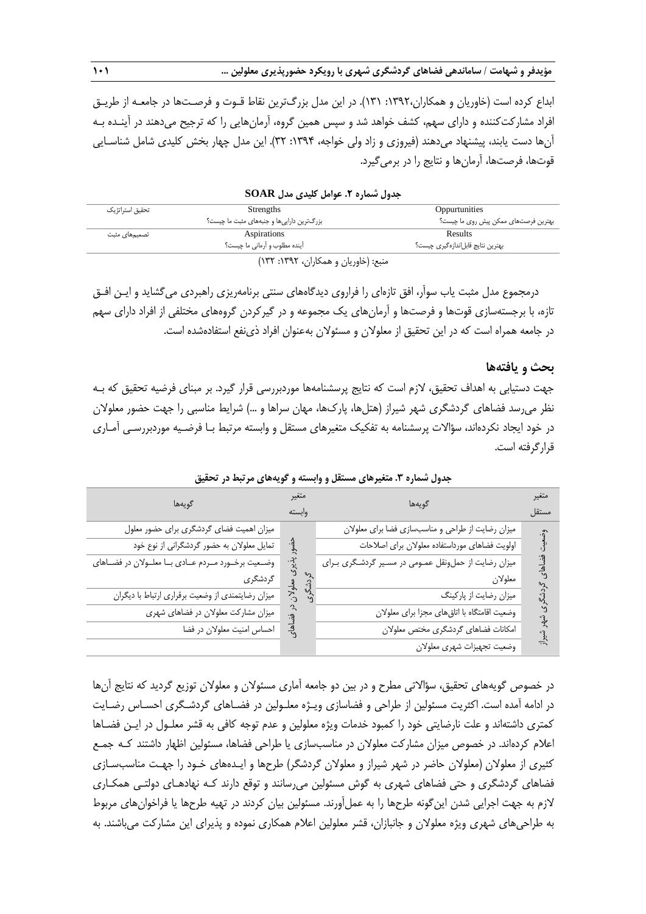ابداع کرده است )خاوریان و همکاران:1392، 131(. در این مدل بزرگترین نقاط قـوت و فرصـتها در جامعـه از طریـق افراد مشارکتکننده و دارای سهم، کشف خواهد شد و سپس همین گروه، آرمانهایی را که ترجیح میدهند در آینـده بـه آنها دست یابند، پیشنهاد میدهند )فیروزی و زاد ولی خواجه، :1394 32(. این مدل چهار بخش کلیدی شامل شناسـایی قوتها، فرصتها، آرمانها و نتایج را در برمیگیرد.

| تحقیق استراتژیک | Strengths                                 | Oppurtunities                        |
|-----------------|-------------------------------------------|--------------------------------------|
|                 | بزرگترین داراییها و جنبههای مثبت ما چیست؟ | بهترین فرصتهای ممکن پیش روی ما چیست؟ |
| تصمیمهای مثبت   | Aspirations                               | Results                              |
|                 | اًینده مطلوب و اَرمانی ما چیست؟           | بهترین نتایج قابل ندازهگیری چیست؟    |
|                 | مزدود (خلوران مدهمه) ان ۱۳۹۲ ۱۳۹۲ (۱۳     |                                      |

**جدول شماره .2 عوامل کلیدی مدل SOAR**

منبع: )خاوریان و همکاران، :1392 132(

درمجموع مدل مثبت یاب سوآر، افق تازهای را فراروی دیدگاههای سنتی برنامهریزی راهبردی میگشاید و ایـن افـق تازه، با برجستهسازی قوتها و فرصتها و آرمانهای یک مجموعه و در گیرکردن گروههای مختلفی از افراد دارای سهم در جامعه همراه است که در این تحقیق از معلوالن و مسئوالن بهعنوان افراد ذینفع استفادهشده است.

## **بحث و یافتهها**

جهت دستیابی به اهداف تحقیق، الزم است که نتایج پرسشنامهها موردبررسی قرار گیرد. بر مبنای فرضیه تحقیق که بـه نظر میرسد فضاهای گردشگری شهر شیراز (هتلها، پارکها، مهان سراها و …) شرایط مناسبی را جهت حضور معلولان در خود ایجاد نکردهاند، سؤالات پرسشنامه به تفکیک متغیرهای مستقل و وابسته مرتبط بـا فرضـیه موردبررسـی آمـاری قرارگرفته است.

| گويەھا                                            | متغير<br>گويەھا |                                                    | متغير |
|---------------------------------------------------|-----------------|----------------------------------------------------|-------|
|                                                   | وابسته          |                                                    | مستقل |
| میزان اهمیت فضای گردشگری برای حضور معلول          |                 | میزان رضایت از طراحی و مناسبسازی فضا برای معلولان  |       |
| تمایل معلولان به حضور گردشگرانی از نوع خود        |                 | اولويت فضاهاى مورداستفاده معلولان براى اصلاحات     |       |
| وضعیت برخورد مردم عادی با معلولان در فضاهای       |                 | میزان رضایت از حمل ونقل عمومی در مسیر گردشگری برای |       |
| گردشگری                                           |                 | معلولان                                            |       |
| میزان رضایتمندی از وضعیت برقراری ارتباط با دیگران |                 | میزان رضایت از پارکینگ                             |       |
| میزان مشارکت معلولان در فضاهای شهری               |                 | وضعیت اقامتگاه با اتاق های مجزا برای معلولان       |       |
| احساس امنیت معلولان در فضا                        | $\frac{4}{3}$   | امكانات فضاهاى كردشكرى مختص معلولان                |       |
|                                                   |                 | وضعيت تجهيزات شهرى معلولان                         |       |

**جدول شماره .3 متغیرهای مستقل و وابسته و گویههای مرتبط در تحقیق**

در خصوص گویههای تحقیق، سؤاالتی مطرح و در بین دو جامعه آماری مسئوالن و معلوالن توزیع گردید که نتایج آنها در ادامه آمده است. اکثریت مسئولین از طراحی و فضاسازی ویـژه معلـولین در فضـاهای گردشـگری احسـاس رضـایت کمتری داشتهاند و علت نارضایتی خود را کمبود خدمات ویژه معلولین و عدم توجه کافی به قشر معلـول در ایـن فضـاها اعالم کردهاند. در خصوص میزان مشارکت معلوالن در مناسبسازی یا طراحی فضاها، مسئولین اظهار داشتند کـه جمـع کثیری از معلوالن )معلوالن حاضر در شهر شیراز و معلوالن گردشگر( طرحها و ایـدههای خـود را جهـت مناسبسـازی فضاهای گردشگری و حتی فضاهای شهری به گوش مسئولین میرسانند و توقع دارند کـه نهادهـای دولتـی همکـاری الزم به جهت اجرایی شدن اینگونه طرحها را به عملآورند. مسئولین بیان کردند در تهیه طرحها یا فراخوانهای مربوط به طراحیهای شهری ویژه معلوالن و جانبازان، قشر معلولین اعالم همکاری نموده و پذیرای این مشارکت میباشند. به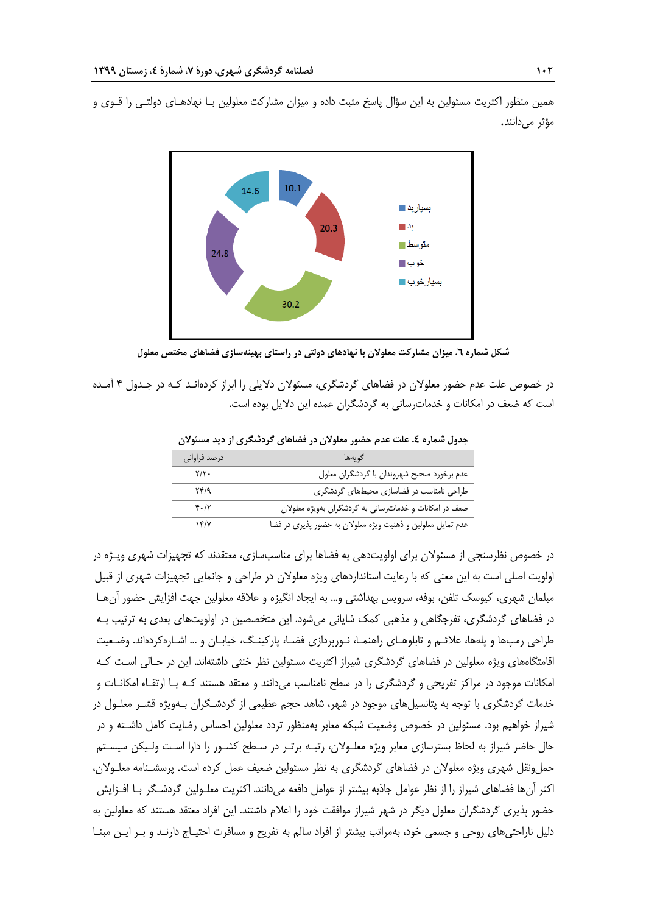همین منظور اکثریت مسئولین به این سؤال پاسخ مثبت داده و میزان مشارکت معلولین بـا نهادهـای دولتـی را قـوی و مؤثر میدانند.



**شکل شماره .6 میزان مشارکت معلوالن با نهادهای دولتی در راستای بهینهسازی فضاهای مختص معلول**

در خصوص علت عدم حضور معلوالن در فضاهای گردشگری، مسئوالن دالیلی را ابراز کردهانـد کـه در جـدول 4 آمـده است که ضعف در امکانات و خدماترسانی به گردشگران عمده این دالیل بوده است.

| درصد فراوانى                        | گويەھا                                                      |
|-------------------------------------|-------------------------------------------------------------|
| $Y/Y$ .                             | عدم برخورد صحيح شهروندان با گردشگران معلول                  |
| $\Upsilon f / q$                    | طراحی نامناسب در فضاسازی محیطهای گردشگری                    |
| $\mathfrak{r} \cdot / \mathfrak{r}$ | ضعف در امکانات و خدمات رسانی به گردشگران بهویژه معلولان     |
| $\gamma$                            | عدم تمایل معلولین و ذهنیت ویژه معلولان به حضور پذیری در فضا |

جدول شماره ٤. علت عدم حضور معلولان در فضاهای گردشگری از دید مسئولان

در خصوص نظرسنجی از مسئوالن برای اولویتدهی به فضاها برای مناسبسازی، معتقدند که تجهیزات شهری ویـژه در اولویت اصلی است به این معنی که با رعایت استانداردهای ویژه معلوالن در طراحی و جانمایی تجهیزات شهری از قبیل مبلمان شهری، کیوسک تلفن، بوفه، سرویس بهداشتی و... به ایجاد انگیزه و عالقه معلولین جهت افزایش حضور آنهـا در فضاهای گردشگری، تفرجگاهی و مذهبی کمک شایانی میشود. این متخصصین در اولویتهای بعدی به ترتیب بـه طراحی رمپها و پلهها، عالئـم و تابلوهـای راهنمـا، نـورپردازی فضـا، پارکینـگ، خیابـان و ... اشـارهکردهاند. وضـعیت اقامتگاههای ویژه معلولین در فضاهای گردشگری شیراز اکثریت مسئولین نظر خنثی داشتهاند. این در حـالی اسـت کـه امکانات موجود در مراکز تفریحی و گردشگری را در سطح نامناسب میدانند و معتقد هستند کـه بـا ارتقـاء امکانـات و خدمات گردشگری با توجه به پتانسیلهای موجود در شهر، شاهد حجم عظیمی از گردشـگران بـهویژه قشـر معلـول در شیراز خواهیم بود. مسئولین در خصوص وضعیت شبکه معابر بهمنظور تردد معلولین احساس رضایت کامل داشـته و در حال حاضر شیراز به لحاظ بسترسازی معابر ویژه معلـوالن، رتبـه برتـر در سـطح کشـور را دارا اسـت ولـیکن سیسـتم حملونقل شهری ویژه معلوالن در فضاهای گردشگری به نظر مسئولین ضعیف عمل کرده است. پرسشـنامه معلـوالن، اکثر آنها فضاهای شیراز را از نظر عوامل جاذبه بیشتر از عوامل دافعه میدانند. اکثریت معلـولین گردشـگر بـا افـزایش حضور پذیری گردشگران معلول دیگر در شهر شیراز موافقت خود را اعالم داشتند. این افراد معتقد هستند که معلولین به دلیل ناراحتیهای روحی و جسمی خود، بهمراتب بیشتر از افراد سالم به تفریح و مسافرت احتیـاج دارنـد و بـر ایـن مبنـا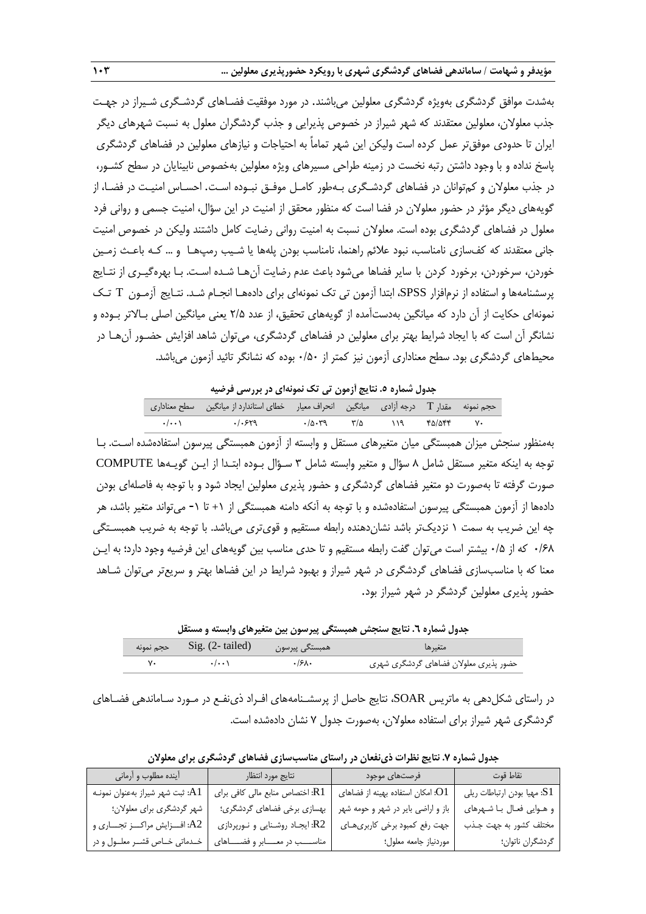بهشدت موافق گردشگری بهویژه گردشگری معلولین میباشند. در مورد موفقیت فضـاهای گردشـگری شـیراز در جهـت جذب معلوالن، معلولین معتقدند که شهر شیراز در خصوص پذیرایی و جذب گردشگران معلول به نسبت شهرهای دیگر ایران تا حدودی موفقتر عمل کرده است ولیکن این شهر تماماً به احتیاجات و نیازهای معلولین در فضاهای گردشگری پاسخ نداده و با وجود داشتن رتبه نخست در زمینه طراحی مسیرهای ویژه معلولین بهخصوص نابینایان در سطح کشـور، در جذب معلوالن و کمتوانان در فضاهای گردشـگری بـهطور کامـل موفـق نبـوده اسـت. احسـاس امنیـت در فضـا، از گویههای دیگر مؤثر در حضور معلوالن در فضا است که منظور محقق از امنیت در این سؤال، امنیت جسمی و روانی فرد معلول در فضاهای گردشگری بوده است. معلوالن نسبت به امنیت روانی رضایت کامل داشتند ولیکن در خصوص امنیت جانی معتقدند که کفسازی نامناسب، نبود عالئم راهنما، نامناسب بودن پلهها یا شـیب رمپهـا و ... کـه باعـ زمـین خوردن، سرخوردن، برخورد کردن با سایر فضاها میشود باعث عدم رضایت آنهـا شـده اسـت. بـا بهرهگیـری از نتـایج پرسشنامهها و استفاده از نرمافزار SPSS، ابتدا آزمون تی تک نمونهای برای دادههـا انجـام شـد. نتـایج آزمـون T تـک نمونهای حکایت از آن دارد که میانگین بهدستآمده از گویههای تحقیق، از عدد 2/5 یعنی میانگین اصلی بـاالتر بـوده و نشانگر آن است که با ایجاد شرایط بهتر برای معلولین در فضاهای گردشگری، میتوان شاهد افزایش حضـور آنهـا در محیطهای گردشگری بود. سطح معناداری آزمون نیز کمتر از ۰/۵۰ بوده که نشانگر تائید آزمون میباشد.

**جدول شماره .5 نتایج آزمون تی تک نمونهای در بررسی فرضیه**

|                     | حجم نمونه    مقدار T    درجه آزادی    میانگین    انحراف معیار    خطای استاندارد از میانگین    سطح معناداری |                                            |               |               |        |             |
|---------------------|------------------------------------------------------------------------------------------------------------|--------------------------------------------|---------------|---------------|--------|-------------|
| $\cdot$ / $\cdot$ \ | .1.549                                                                                                     | $\cdot$ / $\wedge$ $\cdot$ $\vee$ $\wedge$ | $\frac{1}{2}$ | $\frac{1}{9}$ | ۴۵/۵۴۴ | $V_{\star}$ |

بهمنظور سنجش میزان همبستگی میان متغیرهای مستقل و وابسته از آزمون همبستگی پیرسون استفادهشده اسـت. بـا توجه به اینکه متغیر مستقل شامل 8 سؤال و متغیر وابسته شامل 3 سـؤال بـوده ابتـدا از ایـن گویـهها COMPUTE صورت گرفته تا بهصورت دو متغیر فضاهای گردشگری و حضور پذیری معلولین ایجاد شود و با توجه به فاصلهای بودن دادهها از آزمون همبستگی پیرسون استفادهشده و با توجه به آنکه دامنه همبستگی از +1 تا -1 میتواند متغیر باشد، هر چه این ضریب به سمت 1 نزدیکتر باشد نشاندهنده رابطه مستقیم و قویتری میباشد. با توجه به ضریب همبسـتگی 0/68 که از 0/5 بیشتر است میتوان گفت رابطه مستقیم و تا حدی مناسب بین گویههای این فرضیه وجود دارد؛ به ایـن معنا که با مناسبسازی فضاهای گردشگری در شهر شیراز و بهبود شرایط در این فضاها بهتر و سریعتر میتوان شـاهد حضور پذیری معلولین گردشگر در شهر شیراز بود.

**جدول شماره .6 نتایج سنجش همبستگی پیرسون بین متغیرهای وابسته و مستقل** متغیرها همبستگی پیرسون (tailed 2- (.Sig حجم نمونه حضور پذیری معلوالن فضاهای گردشگری شهری 0/680 0/001 70

در راستای شکلدهی به ماتریس SOAR، نتایج حاصل از پرسشـنامههای افـراد ذینفـع در مـورد سـاماندهی فضـاهای گردشگری شهر شیراز برای استفاده معلوالن، بهصورت جدول 7 نشان دادهشده است.

| أينده مطلوب و أرماني              | نتايج مورد انتظار                     | فرصتهای موجود                                        | نقاط قوت                    |
|-----------------------------------|---------------------------------------|------------------------------------------------------|-----------------------------|
| A1: ثبت شهر شيراز بهعنوان نمونـه  | R1: اختصاص منابع مالی کافی برای       | ا. امکان استفاده بهینه از فضاهای $\cdot \mathrm{O1}$ | S1: مهيا بودن ارتباطات ريلي |
| شهر گردشگری برای معلولان؛         | بهسازي برخي فضاهاي گردشگري؛           | باز و اراضی بایر در شهر و حومه شهر                   | و هوايي فعال با شهرهاي      |
| :A2 افـــزايش مراكـــز تجـــاري و | R2: ایجاد روشنایی و نورپردازی         | جهت رفع كمبود برخى كاربرى هاى                        | مختلف كشور به جهت جذب       |
| خدماتي خاص قشر معلول ودر          | مناســــب در معـــــابر و فضـــــاهاى | موردنياز جامعه معلول؛                                | گردشگران ناتوان؛            |

**جدول شماره .7 نتایج نظرات ذینفعان در راستای مناسبسازی فضاهای گردشگری برای معلوالن**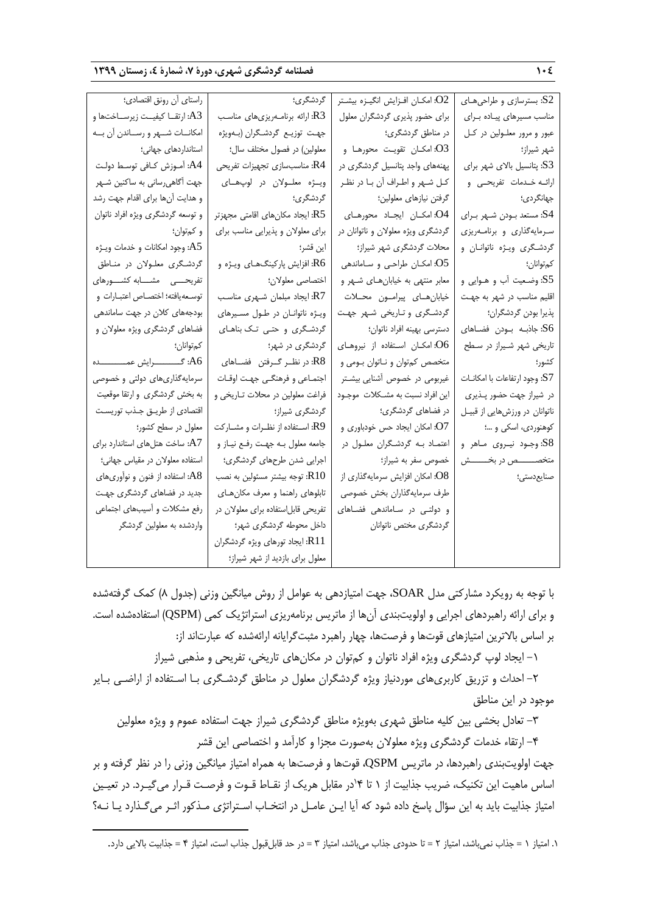| S2: بسترسازی و طراحیهـای       | O2: امكـان افـزايش انگيـزه بيشـتر  | گردشگری؛                            | راستاي أن رونق اقتصادي؛            |
|--------------------------------|------------------------------------|-------------------------------------|------------------------------------|
| مناسب مسيرهاى پياده براى       | برای حضور پذیری گردشگران معلول     | R3: ارائه برنامــهریزیهای مناسـب    | A3: ارتقــا كيفيــت زيرســاختـها و |
| عبور و مرور معلـولين در كـل    | در مناطق گردشگری؛                  | جهت توزيع گردشگران (بـهويژه         | امكانـات شـهر و رسـاندن آن بـه     |
| شهر شيراز؛                     | O3: امكــان تقويـت محورهــا و      | معلولین) در فصول مختلف سال؛         | استانداردهای جهانی؛                |
| S3: پتانسیل بالای شهر برای     | پهنههای واجد پتانسیل گردشگری در    | R4: مناسبسازی تجهیزات تفریحی        | A4: أموزش كـافى توسـط دولت         |
| ارائــه خــدمات تفريحــى و     | كل شهر واطراف أن با در نظر         | ويژه معلولان در لوپهاى              | جهت أگاهي رساني به ساكنين شـهر     |
| جهانگردي؛                      | گرفتن نیازهای معلولین؛             | گردشگری؛                            | و هدایت آنها برای اقدام جهت رشد    |
| S4: مستعد بودن شبهر براي       | O4: امكان ايجاد محورهاى            | R5: ایجاد مکانهای اقامتی مجهزتر     | و توسعه گردشگری ویژه افراد ناتوان  |
| سرمایهگذاری و برنامــهریزی     | گردشگری ویژه معلولان و ناتوانان در | برای معلولان و پذیرایی مناسب برای   | و کم توان؛                         |
| گردشگری ویژه ناتوانـان و       | محلات گردشگری شهر شیراز؛           | اين قشر؛                            | A5: وجود امكانات و خدمات ويـژه     |
| كمتوانان؛                      | O5: امكـان طراحى و سـاماندهى       | R6: افزایش پارکینگهـاي ويـژه و      | گردشگری معلولان در مناطق           |
| S5: وضعیت أب و هـوایی و        | معابر منتهی به خیابان های شـهر و   | اختصاصي معلولان؛                    | تفریحــــی مشـــابه کشـــورهای     |
| اقلیم مناسب در شهر به جهت      | خيابان هاى پيرامون محلات           | R7: ایجاد مبلمان شـهری مناسـب       | توسعه يافته؛ اختصاص اعتبارات و     |
| پذيرا بودن گردشگران؛           | گردشگری و تاریخی شهر جهت           | ويؤه ناتوانان در طول مسيرهاى        | بودجههای کلان در جهت ساماندهی      |
| S6: جاذبـه بـودن فضـاهاى       | دسترسی بهینه افراد ناتوان؛         | گردشگری و حتبی تک بناهای            | فضاهای گردشگری ویژه معلولان و      |
| تاریخی شهر شیراز در سطح        | O6: امكان استفاده از نيروهاى       | گردشگری در شهر؛                     | كم توانان؛                         |
| كشور؛                          | متخصص كمتوان و ناتوان بومي و       | R8: در نظـر گــرفتن فضــاهاى        |                                    |
| S7: وجود ارتفاعات با امكانــات | غیربومی در خصوص آشنایی بیشتر       | اجتماعي و فرهنگي جهت اوقات          | سرمایهگذاریهای دولتی و خصوصی       |
| در شیراز جهت حضور پـذیری       | این افراد نسبت به مشـكلات موجـود   | فراغت معلولین در محلات تـاریخی و    | به بخش گردشگری و ارتقا موقعیت      |
| ناتوانان در ورزشهایی از قبیل   | در فضاهای گردشگری؛                 | گردشگری شیراز؛                      | اقتصادي از طريق جذب توريست         |
| کوهنوردی، اسکی و ؛             | O7: امكان ايجاد حس خودباورى و      | R9: اســتفاده از نظـرات و مشــاركت  | معلول در سطح کشور؛                 |
| S8: وجـود نيـروى مـاهر و       | اعتماد به گردشگران معلول در        | جامعه معلول به جهت رفع نياز و       | A7: ساخت هتل های استاندارد برای    |
| متخصــــــص در بخــــــــش     | خصوص سفر به شیراز؛                 | اجرایی شدن طرحهای گردشگری؛          | استفاده معلولان در مقیاس جهانی؛    |
| صنايعدستي؛                     | O8: امکان افزایش سرمایهگذاری از    | R10: توجه بيشتر مسئولين به نصب      | A8: استفاده از فنون و نوآوریهای    |
|                                | طرف سرمايه گذاران بخش خصوصى        | تابلوهای راهنما و معرف مکان های     | جدید در فضاهای گردشگری جهت         |
|                                | و دولتی در ساماندهی فضاهای         | تفریحی قابل استفاده برای معلولان در | رفع مشكلات و أسيبهاى اجتماعى       |
|                                | گردشگری مختص ناتوانان              | داخل محوطه گردشگری شهر؛             | واردشده به معلولین گردشگر          |
|                                |                                    | R11: ايجاد تورهاي ويژه گردشگران     |                                    |
|                                |                                    | معلول برای بازدید از شهر شیراز؛     |                                    |

با توجه به رویکرد مشارکتی مدل SOAR، جهت امتیازدهی به عوامل از روش میانگین وزنی )جدول 8( کمک گرفتهشده و برای ارائه راهبردهای اجرایی و اولویتبندی آنها از ماتریس برنامهریزی استراتژیک کمی )QSPM )استفادهشده است. بر اساس باالترین امتیازهای قوتها و فرصتها، چهار راهبرد مثبتگرایانه ارائهشده که عبارتاند از:

-1 ایجاد لوپ گردشگری ویژه افراد ناتوان و کمتوان در مکانهای تاریخی، تفریحی و مذهبی شیراز

-2 احداث و تزریق کاربریهای موردنیاز ویژه گردشگران معلول در مناطق گردشـگری بـا اسـتفاده از اراضـی بـایر موجود در این مناطق

-3 تعادل بخشی بین کلیه مناطق شهری بهویژه مناطق گردشگری شیراز جهت استفاده عموم و ویژه معلولین

-4 ارتقاء خدمات گردشگری ویژه معلوالن بهصورت مجزا و کارآمد و اختصاصی این قشر جهت اولویتبندی راهبردها، در ماتریس QSPM، قوتها و فرصتها به همراه امتیاز میانگین وزنی را در نظر گرفته و بر اساس ماهیت این تکنیک، ضریب جذابیت از ۱ تا ۱۴در مقابل هریک از نقـاط قـوت و فرصـت قـرار میگیـرد. در تعیـین امتیاز جذابیت باید به این سؤال پاسخ داده شود که آیا ایـن عامـل در انتخـاب اسـتراتژی مـذکور اثـر میگـذارد یـا نـه؟

1

<sup>.1</sup> امتیاز 1 = جذاب نمیباشد، امتیاز 2 = تا حدودی جذاب میباشد، امتیاز 3 = در حد قابلقبول جذاب است، امتیاز 4 = جذابیت باالیی دارد.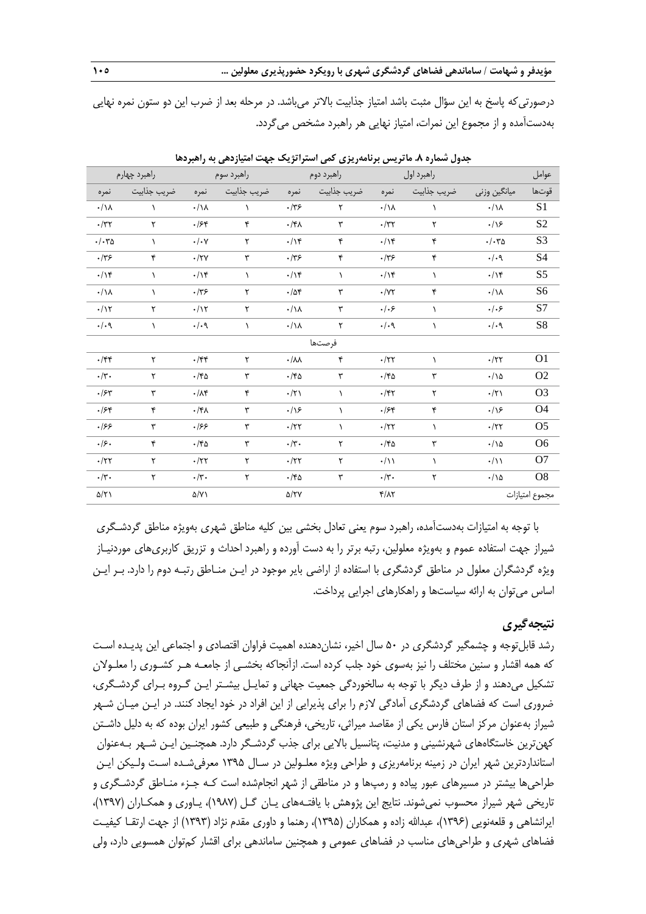**مؤیدفر و شهامت / ساماندهی فضاهای گردشگری شهری با رویکرد حضورپذیری معلولین ... 105**

درصورتیکه پاسخ به این سؤال مثبت باشد امتیاز جذابیت باالتر میباشد. در مرحله بعد از ضرب این دو ستون نمره نهایی بهدستآمده و از مجموع این نمرات، امتیاز نهایی هر راهبرد مشخص میگردد.

|                                                | راهبرد چهارم         |                                                | راهبرد سوم   |                           | راهبرد دوم  |                                              | راهبرد اول   |                          | عوامل          |
|------------------------------------------------|----------------------|------------------------------------------------|--------------|---------------------------|-------------|----------------------------------------------|--------------|--------------------------|----------------|
| نمره                                           | ضريب جذابيت          | نمره                                           | ضريب جذابيت  | نمره                      | ضريب جذابيت | نمره                                         | ضريب جذابيت  | ميانگين وزني             | قوتها          |
| $\cdot/\lambda$                                | $\lambda$            | $\cdot/\lambda$                                | ١            | .775                      | ٢           | $\cdot/\lambda$                              | <sup>1</sup> | $\cdot/\lambda$          | S <sub>1</sub> |
| $\boldsymbol{\cdot} / \boldsymbol{\upgamma}$   | $\mathsf{r}$         | $.$ /۶۴                                        | $\mathbf{r}$ | $\cdot$ /۴۸               | ٣           | $\cdot$ /٣٢                                  | ٢            | $\cdot/\sqrt{2}$         | S <sub>2</sub> |
| $\cdot/\cdot r_0$                              | $\lambda$            | $\cdot/\cdot$ Y                                | $\mathbf{r}$ | $\cdot/\mathcal{N}$       | ۴           | $\cdot/\mathcal{N}$                          | ۴            | $. / \nabla \Delta$      | S <sub>3</sub> |
| $\cdot$ /٣۶                                    | ۴                    | $\cdot$ /۲۷                                    | ٣            | $\cdot$ /٣۶               | ۴           | .775                                         | ۴            | . / .9                   | S4             |
| $\cdot/\gamma$                                 | $\lambda$            | .1                                             | ١            | .1                        | $\lambda$   | $\cdot/\$                                    | $\lambda$    | .1                       | S <sub>5</sub> |
| $\cdot/\backslash\Lambda$                      | $\lambda$            | $\cdot/\tau$ ۶                                 | $\mathsf{r}$ | $\cdot/\Delta f$          | ٣           | $\cdot/\Upsilon$                             | ۴            | $\cdot/\lambda$          | S <sub>6</sub> |
| $\cdot/\backslash\upgamma$                     | $\mathsf{r}$         | $\cdot/\gamma$                                 | $\mathsf{r}$ | $\cdot/\lambda$           | ٣           | $\cdot/\cdot$ ۶                              | $\lambda$    | $.  .$ ۶                 | S7             |
| $.$ / $.9$                                     | $\lambda$            | $.$ / $.9$                                     | $\lambda$    | $\cdot/\backslash\Lambda$ | ٢           | $\cdot/\cdot$ ٩                              | $\lambda$    | $.$ / $.9$               | ${\rm S}8$     |
|                                                |                      |                                                |              |                           | فرصتها      |                                              |              |                          |                |
| $\cdot$ /۴۴                                    | ٢                    | $\boldsymbol{\cdot}$ / $\boldsymbol{\uparrow}$ | $\mathsf{r}$ | $\cdot/\lambda\lambda$    | ۴           | .77                                          | $\lambda$    | .77                      | O <sub>1</sub> |
| $\boldsymbol{\cdot} / \boldsymbol{\upgamma}$ . | $\mathsf{r}$         | $\cdot$ /۴۵                                    | ٣            | $\cdot$ /۴۵               | ٣           | $\cdot$ /۴۵                                  | ٣            | $\cdot/\Delta$           | O <sub>2</sub> |
| $\cdot$ /۶۳                                    | ٣                    | $\cdot/\Lambda$ ۴                              | ۴            | $\cdot/\tau$              | $\lambda$   | $\cdot$ /۴۲                                  | ۲            | $\cdot/\tau$             | O <sub>3</sub> |
| .154                                           | ۴                    | $\cdot$ /۴۸                                    | ٣            | .19                       | $\lambda$   | .158                                         | ۴            | .19                      | <b>O4</b>      |
| .199                                           | $\mathbf{\breve{r}}$ | .199                                           | ٣            | $\cdot$ /٢٢               | $\lambda$   | $\boldsymbol{\cdot} / \boldsymbol{\upgamma}$ | $\lambda$    | $\cdot/\uparrow\uparrow$ | O <sub>5</sub> |
| .49.                                           | ۴                    | $\cdot$ /۴۵                                    | ٣            | $\cdot/\tau$ .            | ٢           | $\cdot$ /۴۵                                  | ٣            | $\cdot/\wedge \Delta$    | O <sub>6</sub> |
| $\cdot$ /٢٢                                    | ٢                    | $\cdot$ /٢٢                                    | ٢            | $\cdot$ /۲۲               | ٢           | $\cdot/\rightarrow$                          | $\lambda$    | $\cdot/\rightarrow$      | O <sub>7</sub> |
| $\cdot/\tau$ .                                 | ٢                    | $\cdot/\tau$ .                                 | ٢            | $\cdot$ /۴۵               | ٣           | $\cdot/\tau$ .                               | ٢            | $\cdot/\wedge \Delta$    | O <sub>8</sub> |
| $\Delta/\Upsilon$ )                            |                      | $\Delta/Y$                                     |              | $\Delta/\text{TY}$        |             | $f/\lambda$                                  |              |                          | مجموع امتيازات |

**جدول شماره .8 ماتریس برنامهریزی کمی استراتژیک جهت امتیازدهی به راهبردها**

با توجه به امتیازات بهدستآمده، راهبرد سوم یعنی تعادل بخشی بین کلیه مناطق شهری بهویژه مناطق گردشـگری شیراز جهت استفاده عموم و بهویژه معلولین، رتبه برتر را به دست آورده و راهبرد احداث و تزریق کاربریهای موردنیـاز ویژه گردشگران معلول در مناطق گردشگری با استفاده از اراضی بایر موجود در ایـن منـاطق رتبـه دوم را دارد. بـر ایـن اساس میتوان به ارائه سیاستها و راهکارهای اجرایی پرداخت.

# **نتیجهگیری**

رشد قابلتوجه و چشمگیر گردشگری در 50 سال اخیر، نشاندهنده اهمیت فراوان اقتصادی و اجتماعی این پدیـده اسـت که همه اقشار و سنین مختلف را نیز بهسوی خود جلب کرده است. ازآنجاکه بخشـی از جامعـه هـر کشـوری را معلـوالن تشکیل میدهند و از طرف دیگر با توجه به سالخوردگی جمعیت جهانی و تمایـل بیشـتر ایـن گـروه بـرای گردشـگری، ضروری است که فضاهای گردشگری آمادگی الزم را برای پذیرایی از این افراد در خود ایجاد کنند. در ایـن میـان شـهر شیراز بهعنوان مرکز استان فارس یکی از مقاصد میراثی، تاریخی، فرهنگی و طبیعی کشور ایران بوده که به دلیل داشـتن کهنترین خاستگاههای شهرنشینی و مدنیت، پتانسیل باالیی برای جذب گردشـگر دارد. همچنـین ایـن شـهر بـهعنوان استانداردترین شهر ایران در زمینه برنامهریزی و طراحی ویژه معلـولین در سـال 1395 معرفیشـده اسـت ولـیکن ایـن طراحیها بیشتر در مسیرهای عبور پیاده و رمپها و در مناطقی از شهر انجامشده است کـه جـزء منـاطق گردشـگری و تاریخی شهر شیراز محسوب نمیشوند. نتایج این پژوهش با یافتـههای یـان گـل )1987(، یـاوری و همکـاران )1397(، ایرانشاهی و قلعهنویی (۱۳۹۶)، عبدالله زاده و همکاران (۱۳۹۵)، رهنما و داوری مقدم نژاد (۱۳۹۳) از جهت ارتقـا کیفیـت فضاهای شهری و طراحیهای مناسب در فضاهای عمومی و همچنین ساماندهی برای اقشار کمتوان همسویی دارد، ولی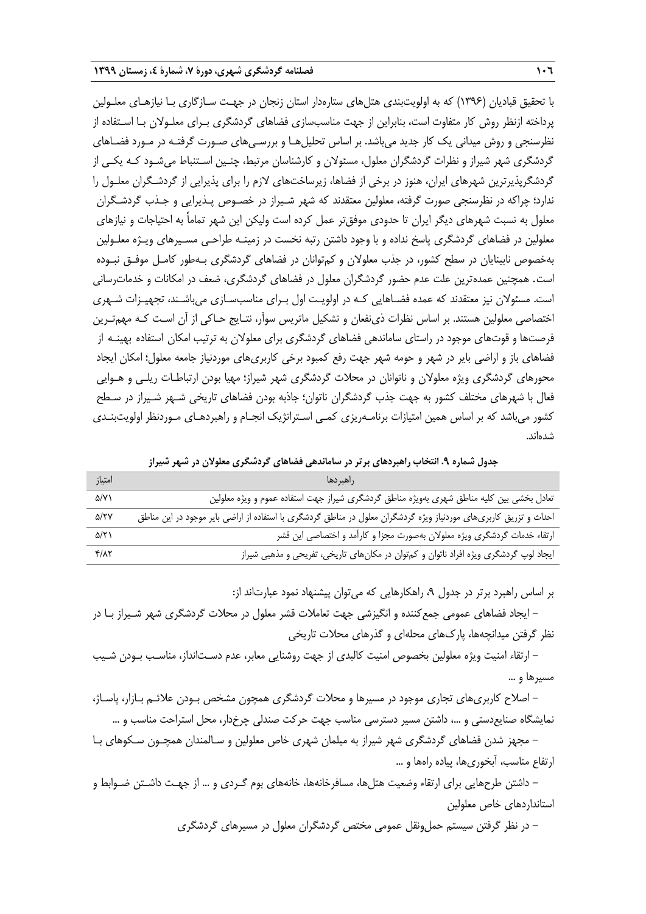با تحقیق قبادیان )1396( که به اولویتبندی هتلهای ستارهدار استان زنجان در جهـت سـازگاری بـا نیازهـای معلـولین پرداخته ازنظر روش کار متفاوت است، بنابراین از جهت مناسبسازی فضاهای گردشگری بـرای معلـوالن بـا اسـتفاده از نظرسنجی و روش میدانی یک کار جدید میباشد. بر اساس تحلیلهـا و بررسـیهای صـورت گرفتـه در مـورد فضـاهای گردشگری شهر شیراز و نظرات گردشگران معلول، مسئولان و کارشناسان مرتبط، چنـین اسـتنباط می،شـود کـه یکـی از گردشگرپذیرترین شهرهای ایران، هنوز در برخی از فضاها، زیرساختهای الزم را برای پذیرایی از گردشـگران معلـول را ندارد؛ چراکه در نظرسنجی صورت گرفته، معلولین معتقدند که شهر شـیراز در خصـوص پـذیرایی و جـذب گردشـگران معلول به نسبت شهرهای دیگر ایران تا حدودی موفقتر عمل کرده است ولیکن این شهر تماماً به احتیاجات و نیازهای معلولین در فضاهای گردشگری پاسخ نداده و با وجود داشتن رتبه نخست در زمینـه طراحـی مسـیرهای ویـژه معلـولین بهخصوص نابینایان در سطح کشور، در جذب معلوالن و کمتوانان در فضاهای گردشگری بـهطور کامـل موفـق نبـوده است. همچنین عمدهترین علت عدم حضور گردشگران معلول در فضاهای گردشگری، ضعف در امکانات و خدماترسانی است. مسئوالن نیز معتقدند که عمده فضـاهایی کـه در اولویـت اول بـرای مناسبسـازی میباشـند، تجهیـزات شـهری اختصاصی معلولین هستند. بر اساس نظرات ذینفعان و تشکیل ماتریس سوآر، نتـایج حـاکی از آن اسـت کـه مهمتـرین فرصتها و قوتهای موجود در راستای ساماندهی فضاهای گردشگری برای معلوالن به ترتیب امکان استفاده بهینـه از فضاهای باز و اراضی بایر در شهر و حومه شهر جهت رفع کمبود برخی کاربریهای موردنیاز جامعه معلول؛ امکان ایجاد محورهای گردشگری ویژه معلوالن و ناتوانان در محالت گردشگری شهر شیراز؛ مهیا بودن ارتباطـات ریلـی و هـوایی فعال با شهرهای مختلف کشور به جهت جذب گردشگران ناتوان؛ جاذبه بودن فضاهای تاریخی شـهر شـیراز در سـطح کشور میباشد که بر اساس همین امتیازات برنامـهریزی کمـی اسـتراتژیک انجـام و راهبردهـای مـوردنظر اولویتبنـدی شدهاند.

**جدول شماره .9 انتخاب راهبردهای برتر در ساماندهی فضاهای گردشگری معلوالن در شهر شیراز**

| امتياز            | اراهبردها                                                                                                         |
|-------------------|-------------------------------------------------------------------------------------------------------------------|
| $\Delta$ /Y)      | تعادل بخشی بین کلیه مناطق شهری بهویژه مناطق گردشگری شیراز جهت استفاده عموم و ویژه معلولین                         |
| $\Delta/YY$       | احداث و تزریق کاربریهای موردنیاز ویژه گردشگران معلول در مناطق گردشگری با استفاده از اراضی بایر موجود در این مناطق |
| $\Delta/\Upsilon$ | ارتقاء خدمات گردشگری ویژه معلولان بهصورت مجزا و کارآمد و اختصاصی این قشر                                          |
| $Y/\lambda Y$     | ایجاد لوپ گردشگری ویژه افراد ناتوان و کمتوان در مکانهای تاریخی، تفریحی و مذهبی شیراز                              |

بر اساس راهبرد برتر در جدول ۹، راهکارهایی که میتوان پیشنهاد نمود عبارتاند از:

- ایجاد فضاهای عمومی جمعکننده و انگیزشی جهت تعامالت قشر معلول در محالت گردشگری شهر شـیراز بـا در نظر گرفتن میدانچهها، پاركهای محلهای و گذرهای محالت تاریخی

- ارتقاء امنیت ویژه معلولین بخصوص امنیت کالبدی از جهت روشنایی معابر، عدم دسـتانداز، مناسـب بـودن شـیب مسیرها و ...

- اصالح کاربریهای تجاری موجود در مسیرها و محالت گردشگری همچون مشخص بـودن عالئـم بـازار، پاسـاژ، نمایشگاه صنایعدستی و ،... داشتن مسیر دسترسی مناسب جهت حرکت صندلی چرخدار، محل استراحت مناسب و ...

- مجهز شدن فضاهای گردشگری شهر شیراز به مبلمان شهری خاص معلولین و سـالمندان همچـون سـکوهای بـا ارتفاع مناسب، آبخوریها، پیاده راهها و ...

– داشتن طرحهایی برای ارتقاء وضعیت هتلها، مسافرخانهها، خانههای بوم گـردی و … از جهـت داشـتن ضـوابط و استانداردهای خاص معلولین

– در نظر گرفتن سیستم حمل ونقل عمومی مختص گردشگران معلول در مسیرهای گردشگری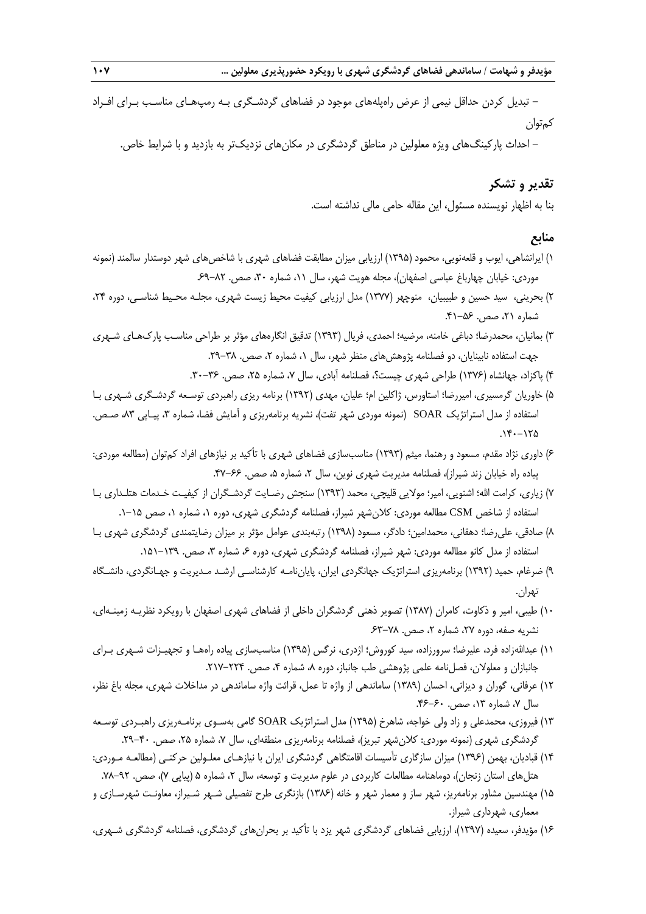- تبدیل کردن حداقل نیمی از عرض راهپلههای موجود در فضاهای گردشـگری بـه رمپهـای مناسـب بـرای افـراد کمتوان

– احداث پارکینگهای ویژه معلولین در مناطق گردشگری در مکانهای نزدیکتر به بازدید و با شرایط خاص.

# **تقدیر و تشکر**

بنا به اظهار نویسنده مسئول، این مقاله حامی مالی نداشته است.

## **منابع**

- 1( ایرانشاهی، ایوب و قلعهنویی، محمود )1395( ارزیابی میزان مطابقت فضاهای شهری با شاخصهای شهر دوستدار سالمند )نمونه موردی: خیابان چهارباغ عباسی اصفهان)، مجله هویت شهر، سال ۱۱، شماره ۳۰، صص. ۸۲–۶۹.
- ٢) بحرینی، سید حسین و طبیبیان، منوچهر (١٣٧٧) مدل ارزیابی کیفیت محیط زیست شهری، مجلـه محـیط شناسـی، دوره ٢۴، شماره ۲۱، صص. ۵۶–۴۱.
- 3( بمانیان، محمدرضا؛ دباغی خامنه، مرضیه؛ احمدی، فریال )1393( تدقیق انگارههای مؤثر بر طراحی مناسـب پاركهـای شـهری جهت استفاده نابینایان، دو فصلنامه پژوهشهای منظر شهر، سال ۱، شماره ۲، صص. ۳۸–۲۹.
	- ۴) پاکزاد، جهانشاه (۱۳۷۶) طراحی شهری چیست؟، فصلنامه آبادی، سال ۷، شماره ۲۵، صص. ۳۶-۳۰.
- 5( خاوریان گرمسیری، امیررضا؛ استاورس، ژاکلین ام؛ علیان، مهدی )1392( برنامه ریزی راهبردی توسـعه گردشـگری شـهری بـا استفاده از مدل استراتژیک SOAR (نمونه موردی شهر تفت)، نشریه برنامهریزی و آمایش فضا، شماره ۳، پیـاپی ۸۳، صـص.  $.14 - 170$
- 6( داوری نژاد مقدم، مسعود و رهنما، میثم )1393( مناسبسازی فضاهای شهری با تأکید بر نیازهای افراد کمتوان )مطالعه موردی: پیاده راه خیابان زند شیراز)، فصلنامه مدیریت شهری نوین، سال ۲، شماره ۵، صص. ۶۶-۴۷.
- 7( زیاری، کرامت اهلل؛ اشنویی، امیر؛ موالیی قلیچی، محمد )1393( سنجش رضـایت گردشـگران از کیفیـت خـدمات هتلـداری بـا استفاده از شاخص CSM مطالعه موردی: کالنشهر شیراز، فصلنامه گردشگری شهری، دوره ،1 شماره ،1 صص .1-15
- 8( صادقی، علیرضا؛ دهقانی، محمدامین؛ دادگر، مسعود )1398( رتبهبندی عوامل مؤثر بر میزان رضایتمندی گردشگری شهری بـا استفاده از مدل کانو مطالعه موردی: شهر شیراز، فصلنامه گردشگری شهری، دوره ۶، شماره ۳، صص. ۱۳۹–۱۵۱.
- 9( ضرغام، حمید )1392( برنامهریزی استراتژیک جهانگردی ایران، پایاننامـه کارشناسـی ارشـد مـدیریت و جهـانگردی، دانشـگاه تهران.
- 10( طیبی، امیر و ذکاوت، کامران )1387( تصویر ذهنی گردشگران داخلی از فضاهای شهری اصفهان با رویکرد نظریـه زمینـهای، نشریه صفه، دوره ۲۷. شماره ۲، صص. ۷۸-۶۳.
- ١١) عبداللهزاده فرد، علیرضا؛ سرورزاده، سید کوروش؛ اژدری، نرگس (١٣٩۵) مناسبسازی پیاده راههـا و تجهیـزات شـهری بـرای جانبازان و معلولان، فصلنامه علمی پژوهشی طب جانباز، دوره ۸، شماره ۴، صص. ۲۲۴-۲۱۷.
- 12( عرفانی، گوران و دیزانی، احسان )1389( ساماندهی از واژه تا عمل، قرائت واژه ساماندهی در مداخالت شهری، مجله باغ نظر، سال ۷، شماره ۱۳، صص. ۶۰–۴۶.
- 13( فیروزی، محمدعلی و زاد ولی خواجه، شاهرخ )1395( مدل استراتژیک SOAR گامی بهسـوی برنامـهریزی راهبـردی توسـعه گردشگری شهری (نمونه موردی: کلانشهر تبریز)، فصلنامه برنامهریزی منطقهای، سال ۷، شماره ۲۵، صص. ۴۰–۲۹.
- 14( قبادیان، بهمن )1396( میزان سازگاری تأسیسات اقامتگاهی گردشگری ایران با نیازهـای معلـولین حرکتـی )مطالعـه مـوردی: هتلهای استان زنجان)، دوماهنامه مطالعات کاربردی در علوم مدیریت و توسعه، سال ۲، شماره ۵ (پیاپی ۷)، صص. ۹۲–۷۸.
- ۱۵) مهندسین مشاور برنامهریز، شهر ساز و معمار شهر و خانه (۱۳۸۶) بازنگری طرح تفصیلی شـهر شـیراز، معاونـت شهرسـازی و معماری، شهرداری شیراز.
- 16( مؤیدفر، سعیده )1397(، ارزیابی فضاهای گردشگری شهر یزد با تأکید بر بحرانهای گردشگری، فصلنامه گردشگری شـهری،